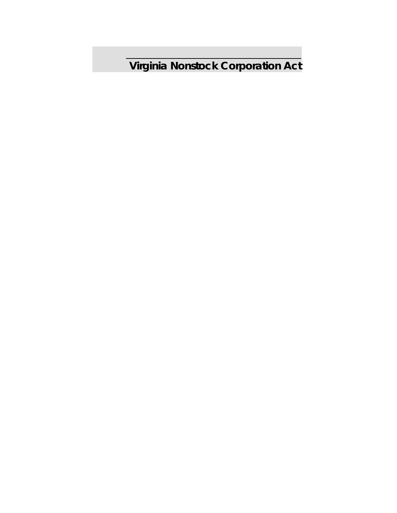**Virginia Nonstock Corporation Act**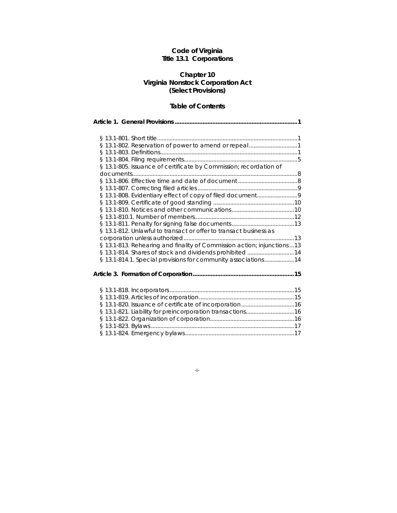## **Code of Virginia Title 13.1 Corporations**

## **Chapter 10 Virginia Nonstock Corporation Act (Select Provisions)**

## **Table of Contents**

**Article 1. General Provisions ........................................................................... 1** 

| § 13.1-802. Reservation of power to amend or repeal1                    |  |
|-------------------------------------------------------------------------|--|
|                                                                         |  |
|                                                                         |  |
| § 13.1-805. Issuance of certificate by Commission; recordation of       |  |
|                                                                         |  |
|                                                                         |  |
|                                                                         |  |
|                                                                         |  |
|                                                                         |  |
|                                                                         |  |
|                                                                         |  |
|                                                                         |  |
| § 13.1-812. Unlawful to transact or offer to transact business as       |  |
|                                                                         |  |
| § 13.1-813. Rehearing and finality of Commission action; injunctions 13 |  |
| § 13.1-814. Shares of stock and dividends prohibited 14                 |  |
| § 13.1-814.1. Special provisions for community associations14           |  |
|                                                                         |  |
|                                                                         |  |

-i-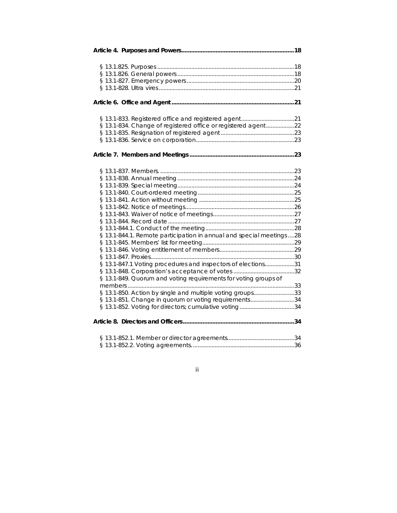| § 13.1-834. Change of registered office or registered agent22         |  |
|-----------------------------------------------------------------------|--|
|                                                                       |  |
|                                                                       |  |
|                                                                       |  |
|                                                                       |  |
|                                                                       |  |
|                                                                       |  |
|                                                                       |  |
|                                                                       |  |
|                                                                       |  |
|                                                                       |  |
|                                                                       |  |
|                                                                       |  |
| § 13.1-844.1. Remote participation in annual and special meetings  28 |  |
|                                                                       |  |
|                                                                       |  |
|                                                                       |  |
| § 13.1-847.1 Voting procedures and inspectors of elections31          |  |
|                                                                       |  |
| § 13.1-849. Quorum and voting requirements for voting groups of       |  |
|                                                                       |  |
| § 13.1-850. Action by single and multiple voting groups33             |  |
| § 13.1-851. Change in quorum or voting requirements34                 |  |
| § 13.1-852. Voting for directors; cumulative voting34                 |  |
|                                                                       |  |
|                                                                       |  |
|                                                                       |  |

ii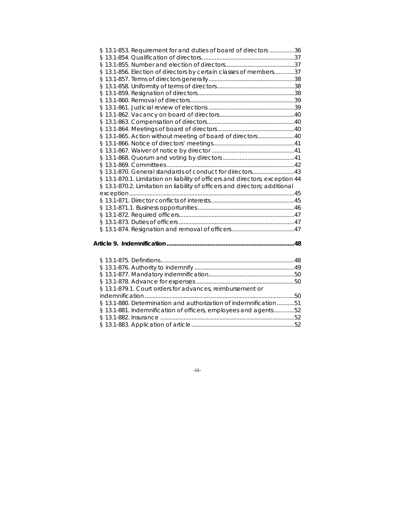| § 13.1-853. Requirement for and duties of board of directors 36               |  |
|-------------------------------------------------------------------------------|--|
|                                                                               |  |
|                                                                               |  |
| § 13.1-856. Election of directors by certain classes of members37             |  |
|                                                                               |  |
|                                                                               |  |
|                                                                               |  |
|                                                                               |  |
|                                                                               |  |
|                                                                               |  |
|                                                                               |  |
|                                                                               |  |
| § 13.1-865. Action without meeting of board of directors 40                   |  |
|                                                                               |  |
|                                                                               |  |
|                                                                               |  |
|                                                                               |  |
| §13.1-870. General standards of conduct for directors43                       |  |
| § 13.1-870.1. Limitation on liability of officers and directors; exception 44 |  |
| § 13.1-870.2. Limitation on liability of officers and directors; additional   |  |
|                                                                               |  |
|                                                                               |  |
|                                                                               |  |
|                                                                               |  |
|                                                                               |  |
|                                                                               |  |
|                                                                               |  |
|                                                                               |  |
|                                                                               |  |
|                                                                               |  |
|                                                                               |  |
|                                                                               |  |
|                                                                               |  |

indemnification ................................................................................................ 50 § 13.1-880. Determination and authorization of indemnification ........... 51 § 13.1-881. Indemnification of officers, employees and agents ............. 52 § 13.1-882. Insurance ...................................................................................... 52 § 13.1-883. Application of article .................................................................. 52

§ 13.1-879.1. Court orders for advances, reimbursement or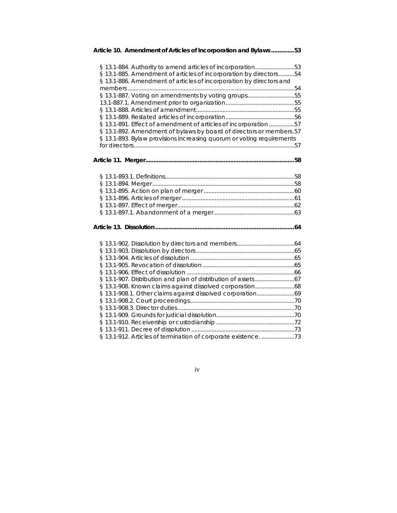| Article 10. Amendment of Articles of Incorporation and Bylaws53                                                                                                                                                                                                                                                                                                                                                                                                                  |
|----------------------------------------------------------------------------------------------------------------------------------------------------------------------------------------------------------------------------------------------------------------------------------------------------------------------------------------------------------------------------------------------------------------------------------------------------------------------------------|
| § 13.1-884. Authority to amend articles of incorporation53<br>§ 13.1-885. Amendment of articles of incorporation by directors54<br>§ 13.1-886. Amendment of articles of incorporation by directors and<br>§ 13.1-887. Voting on amendments by voting groups55<br>§ 13.1-891. Effect of amendment of articles of incorporation 57<br>§ 13.1-892. Amendment of bylaws by board of directors or members.57<br>§ 13.1-893. Bylaw provisions increasing quorum or voting requirements |
|                                                                                                                                                                                                                                                                                                                                                                                                                                                                                  |
|                                                                                                                                                                                                                                                                                                                                                                                                                                                                                  |
|                                                                                                                                                                                                                                                                                                                                                                                                                                                                                  |
| § 13.1-908. Known claims against dissolved corporation68<br>§ 13.1-908.1. Other claims against dissolved corporation69<br>§ 13.1-912. Articles of termination of corporate existence. 73                                                                                                                                                                                                                                                                                         |

# iv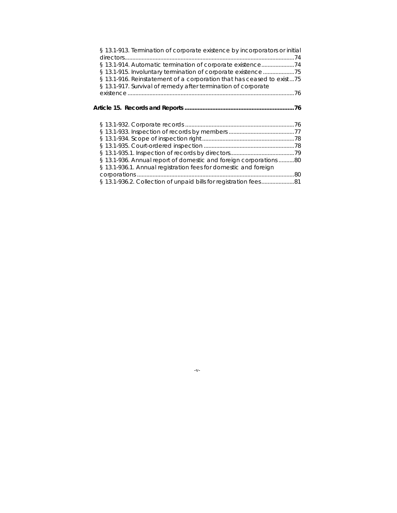| § 13.1-913. Termination of corporate existence by incorporators or initial |  |
|----------------------------------------------------------------------------|--|
|                                                                            |  |
| § 13.1-914. Automatic termination of corporate existence74                 |  |
| § 13.1-915. Involuntary termination of corporate existence75               |  |
| § 13.1-916. Reinstatement of a corporation that has ceased to exist75      |  |
| § 13.1-917. Survival of remedy after termination of corporate              |  |
|                                                                            |  |
|                                                                            |  |
|                                                                            |  |
|                                                                            |  |
|                                                                            |  |
|                                                                            |  |
|                                                                            |  |
|                                                                            |  |
|                                                                            |  |
|                                                                            |  |
| § 13.1-936. Annual report of domestic and foreign corporations 80          |  |
| § 13.1-936.1. Annual registration fees for domestic and foreign            |  |
|                                                                            |  |
| § 13.1-936.2. Collection of unpaid bills for registration fees81           |  |

-v-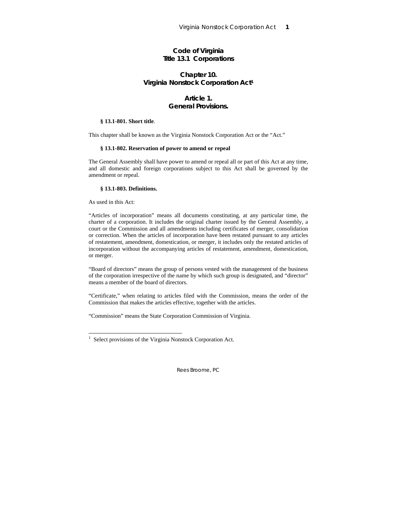## **Code of Virginia Title 13.1 Corporations**

## **Chapter 10. Virginia Nonstock Corporation Act1**

## **Article 1. General Provisions.**

## **§ 13.1-801. Short title**.

This chapter shall be known as the Virginia Nonstock Corporation Act or the "Act."

#### **§ 13.1-802. Reservation of power to amend or repeal**

The General Assembly shall have power to amend or repeal all or part of this Act at any time, and all domestic and foreign corporations subject to this Act shall be governed by the amendment or repeal.

## **§ 13.1-803. Definitions.**

As used in this Act:

1

"Articles of incorporation" means all documents constituting, at any particular time, the charter of a corporation. It includes the original charter issued by the General Assembly, a court or the Commission and all amendments including certificates of merger, consolidation or correction. When the articles of incorporation have been restated pursuant to any articles of restatement, amendment, domestication, or merger, it includes only the restated articles of incorporation without the accompanying articles of restatement, amendment, domestication, or merger.

"Board of directors" means the group of persons vested with the management of the business of the corporation irrespective of the name by which such group is designated, and "director" means a member of the board of directors.

"Certificate," when relating to articles filed with the Commission, means the order of the Commission that makes the articles effective, together with the articles.

"Commission" means the State Corporation Commission of Virginia.

<sup>&</sup>lt;sup>1</sup> Select provisions of the Virginia Nonstock Corporation Act.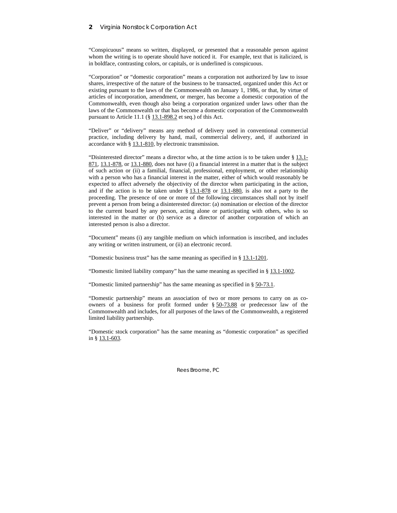### **2** Virginia Nonstock Corporation Act

"Conspicuous" means so written, displayed, or presented that a reasonable person against whom the writing is to operate should have noticed it. For example, text that is italicized, is in boldface, contrasting colors, or capitals, or is underlined is conspicuous.

"Corporation" or "domestic corporation" means a corporation not authorized by law to issue shares, irrespective of the nature of the business to be transacted, organized under this Act or existing pursuant to the laws of the Commonwealth on January 1, 1986, or that, by virtue of articles of incorporation, amendment, or merger, has become a domestic corporation of the Commonwealth, even though also being a corporation organized under laws other than the laws of the Commonwealth or that has become a domestic corporation of the Commonwealth pursuant to Article 11.1 (§ 13.1-898.2 et seq.) of this Act.

"Deliver" or "delivery" means any method of delivery used in conventional commercial practice, including delivery by hand, mail, commercial delivery, and, if authorized in accordance with § 13.1-810, by electronic transmission.

"Disinterested director" means a director who, at the time action is to be taken under  $\S$  13.1-871, 13.1-878, or 13.1-880, does not have (i) a financial interest in a matter that is the subject of such action or (ii) a familial, financial, professional, employment, or other relationship with a person who has a financial interest in the matter, either of which would reasonably be expected to affect adversely the objectivity of the director when participating in the action, and if the action is to be taken under  $\S$  13.1-878 or 13.1-880, is also not a party to the proceeding. The presence of one or more of the following circumstances shall not by itself prevent a person from being a disinterested director: (a) nomination or election of the director to the current board by any person, acting alone or participating with others, who is so interested in the matter or (b) service as a director of another corporation of which an interested person is also a director.

"Document" means (i) any tangible medium on which information is inscribed, and includes any writing or written instrument, or (ii) an electronic record.

"Domestic business trust" has the same meaning as specified in § 13.1-1201.

"Domestic limited liability company" has the same meaning as specified in § 13.1-1002.

"Domestic limited partnership" has the same meaning as specified in § 50-73.1.

"Domestic partnership" means an association of two or more persons to carry on as coowners of a business for profit formed under § 50-73.88 or predecessor law of the Commonwealth and includes, for all purposes of the laws of the Commonwealth, a registered limited liability partnership.

"Domestic stock corporation" has the same meaning as "domestic corporation" as specified in § 13.1-603.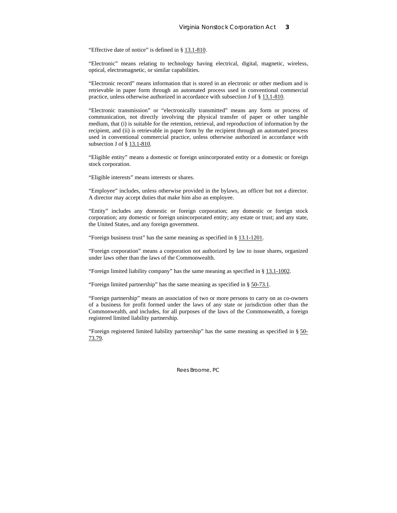"Effective date of notice" is defined in § 13.1-810.

"Electronic" means relating to technology having electrical, digital, magnetic, wireless, optical, electromagnetic, or similar capabilities.

"Electronic record" means information that is stored in an electronic or other medium and is retrievable in paper form through an automated process used in conventional commercial practice, unless otherwise authorized in accordance with subsection J of § 13.1-810.

"Electronic transmission" or "electronically transmitted" means any form or process of communication, not directly involving the physical transfer of paper or other tangible medium, that (i) is suitable for the retention, retrieval, and reproduction of information by the recipient, and (ii) is retrievable in paper form by the recipient through an automated process used in conventional commercial practice, unless otherwise authorized in accordance with subsection J of § 13.1-810.

"Eligible entity" means a domestic or foreign unincorporated entity or a domestic or foreign stock corporation.

"Eligible interests" means interests or shares.

"Employee" includes, unless otherwise provided in the bylaws, an officer but not a director. A director may accept duties that make him also an employee.

"Entity" includes any domestic or foreign corporation; any domestic or foreign stock corporation; any domestic or foreign unincorporated entity; any estate or trust; and any state, the United States, and any foreign government.

"Foreign business trust" has the same meaning as specified in § 13.1-1201.

"Foreign corporation" means a corporation not authorized by law to issue shares, organized under laws other than the laws of the Commonwealth.

"Foreign limited liability company" has the same meaning as specified in § 13.1-1002.

"Foreign limited partnership" has the same meaning as specified in § 50-73.1.

"Foreign partnership" means an association of two or more persons to carry on as co-owners of a business for profit formed under the laws of any state or jurisdiction other than the Commonwealth, and includes, for all purposes of the laws of the Commonwealth, a foreign registered limited liability partnership.

"Foreign registered limited liability partnership" has the same meaning as specified in § 50- 73.79.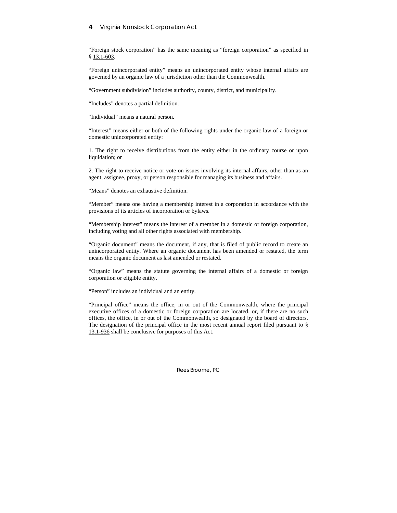### **4** Virginia Nonstock Corporation Act

"Foreign stock corporation" has the same meaning as "foreign corporation" as specified in § 13.1-603.

"Foreign unincorporated entity" means an unincorporated entity whose internal affairs are governed by an organic law of a jurisdiction other than the Commonwealth.

"Government subdivision" includes authority, county, district, and municipality.

"Includes" denotes a partial definition.

"Individual" means a natural person.

"Interest" means either or both of the following rights under the organic law of a foreign or domestic unincorporated entity:

1. The right to receive distributions from the entity either in the ordinary course or upon liquidation; or

2. The right to receive notice or vote on issues involving its internal affairs, other than as an agent, assignee, proxy, or person responsible for managing its business and affairs.

"Means" denotes an exhaustive definition.

"Member" means one having a membership interest in a corporation in accordance with the provisions of its articles of incorporation or bylaws.

"Membership interest" means the interest of a member in a domestic or foreign corporation, including voting and all other rights associated with membership.

"Organic document" means the document, if any, that is filed of public record to create an unincorporated entity. Where an organic document has been amended or restated, the term means the organic document as last amended or restated.

"Organic law" means the statute governing the internal affairs of a domestic or foreign corporation or eligible entity.

"Person" includes an individual and an entity.

"Principal office" means the office, in or out of the Commonwealth, where the principal executive offices of a domestic or foreign corporation are located, or, if there are no such offices, the office, in or out of the Commonwealth, so designated by the board of directors. The designation of the principal office in the most recent annual report filed pursuant to § 13.1-936 shall be conclusive for purposes of this Act.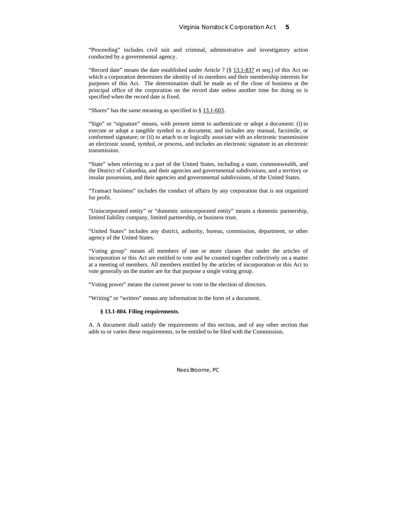"Proceeding" includes civil suit and criminal, administrative and investigatory action conducted by a governmental agency.

"Record date" means the date established under Article 7 (§ 13.1-837 et seq.) of this Act on which a corporation determines the identity of its members and their membership interests for purposes of this Act. The determination shall be made as of the close of business at the principal office of the corporation on the record date unless another time for doing so is specified when the record date is fixed.

"Shares" has the same meaning as specified in § 13.1-603.

"Sign" or "signature" means, with present intent to authenticate or adopt a document: (i) to execute or adopt a tangible symbol to a document, and includes any manual, facsimile, or conformed signature; or (ii) to attach to or logically associate with an electronic transmission an electronic sound, symbol, or process, and includes an electronic signature in an electronic transmission.

"State" when referring to a part of the United States, including a state, commonwealth, and the District of Columbia, and their agencies and governmental subdivisions; and a territory or insular possession, and their agencies and governmental subdivisions, of the United States.

"Transact business" includes the conduct of affairs by any corporation that is not organized for profit.

"Unincorporated entity" or "domestic unincorporated entity" means a domestic partnership, limited liability company, limited partnership, or business trust.

"United States" includes any district, authority, bureau, commission, department, or other agency of the United States.

"Voting group" means all members of one or more classes that under the articles of incorporation or this Act are entitled to vote and be counted together collectively on a matter at a meeting of members. All members entitled by the articles of incorporation or this Act to vote generally on the matter are for that purpose a single voting group.

"Voting power" means the current power to vote in the election of directors.

"Writing" or "written" means any information in the form of a document.

#### **§ 13.1-804. Filing requirements**.

A. A document shall satisfy the requirements of this section, and of any other section that adds to or varies these requirements, to be entitled to be filed with the Commission.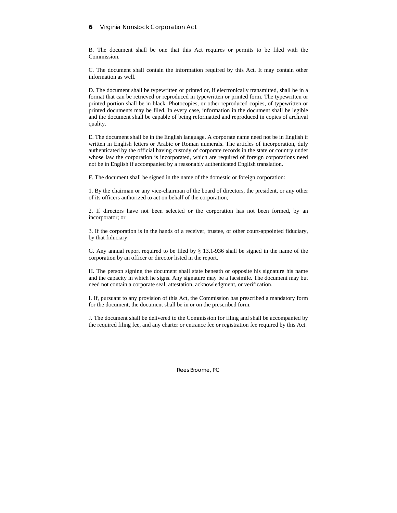## **6** Virginia Nonstock Corporation Act

B. The document shall be one that this Act requires or permits to be filed with the Commission.

C. The document shall contain the information required by this Act. It may contain other information as well.

D. The document shall be typewritten or printed or, if electronically transmitted, shall be in a format that can be retrieved or reproduced in typewritten or printed form. The typewritten or printed portion shall be in black. Photocopies, or other reproduced copies, of typewritten or printed documents may be filed. In every case, information in the document shall be legible and the document shall be capable of being reformatted and reproduced in copies of archival quality.

E. The document shall be in the English language. A corporate name need not be in English if written in English letters or Arabic or Roman numerals. The articles of incorporation, duly authenticated by the official having custody of corporate records in the state or country under whose law the corporation is incorporated, which are required of foreign corporations need not be in English if accompanied by a reasonably authenticated English translation.

F. The document shall be signed in the name of the domestic or foreign corporation:

1. By the chairman or any vice-chairman of the board of directors, the president, or any other of its officers authorized to act on behalf of the corporation;

2. If directors have not been selected or the corporation has not been formed, by an incorporator; or

3. If the corporation is in the hands of a receiver, trustee, or other court-appointed fiduciary, by that fiduciary.

G. Any annual report required to be filed by § 13.1-936 shall be signed in the name of the corporation by an officer or director listed in the report.

H. The person signing the document shall state beneath or opposite his signature his name and the capacity in which he signs. Any signature may be a facsimile. The document may but need not contain a corporate seal, attestation, acknowledgment, or verification.

I. If, pursuant to any provision of this Act, the Commission has prescribed a mandatory form for the document, the document shall be in or on the prescribed form.

J. The document shall be delivered to the Commission for filing and shall be accompanied by the required filing fee, and any charter or entrance fee or registration fee required by this Act.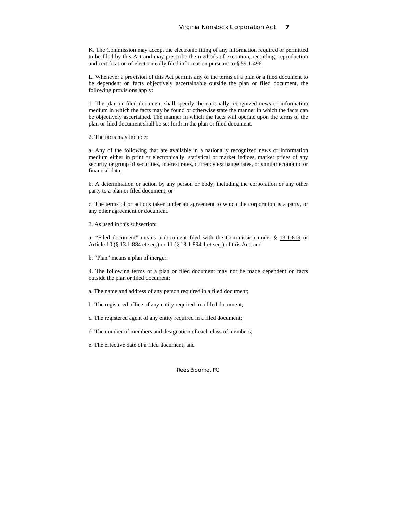K. The Commission may accept the electronic filing of any information required or permitted to be filed by this Act and may prescribe the methods of execution, recording, reproduction and certification of electronically filed information pursuant to § 59.1-496.

L. Whenever a provision of this Act permits any of the terms of a plan or a filed document to be dependent on facts objectively ascertainable outside the plan or filed document, the following provisions apply:

1. The plan or filed document shall specify the nationally recognized news or information medium in which the facts may be found or otherwise state the manner in which the facts can be objectively ascertained. The manner in which the facts will operate upon the terms of the plan or filed document shall be set forth in the plan or filed document.

2. The facts may include:

a. Any of the following that are available in a nationally recognized news or information medium either in print or electronically: statistical or market indices, market prices of any security or group of securities, interest rates, currency exchange rates, or similar economic or financial data;

b. A determination or action by any person or body, including the corporation or any other party to a plan or filed document; or

c. The terms of or actions taken under an agreement to which the corporation is a party, or any other agreement or document.

3. As used in this subsection:

a. "Filed document" means a document filed with the Commission under § 13.1-819 or Article 10 (§ 13.1-884 et seq.) or 11 (§ 13.1-894.1 et seq.) of this Act; and

b. "Plan" means a plan of merger.

4. The following terms of a plan or filed document may not be made dependent on facts outside the plan or filed document:

a. The name and address of any person required in a filed document;

b. The registered office of any entity required in a filed document;

c. The registered agent of any entity required in a filed document;

d. The number of members and designation of each class of members;

e. The effective date of a filed document; and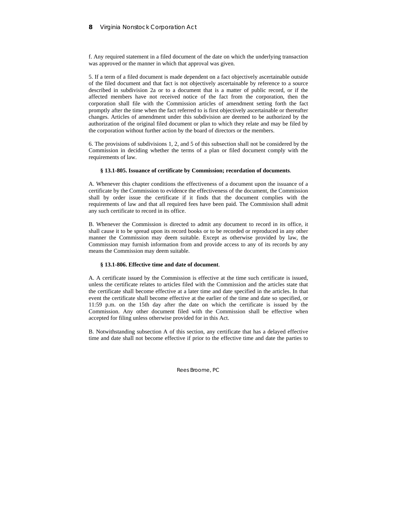f. Any required statement in a filed document of the date on which the underlying transaction was approved or the manner in which that approval was given.

5. If a term of a filed document is made dependent on a fact objectively ascertainable outside of the filed document and that fact is not objectively ascertainable by reference to a source described in subdivision 2a or to a document that is a matter of public record, or if the affected members have not received notice of the fact from the corporation, then the corporation shall file with the Commission articles of amendment setting forth the fact promptly after the time when the fact referred to is first objectively ascertainable or thereafter changes. Articles of amendment under this subdivision are deemed to be authorized by the authorization of the original filed document or plan to which they relate and may be filed by the corporation without further action by the board of directors or the members.

6. The provisions of subdivisions 1, 2, and 5 of this subsection shall not be considered by the Commission in deciding whether the terms of a plan or filed document comply with the requirements of law.

#### **§ 13.1-805. Issuance of certificate by Commission; recordation of documents**.

A. Whenever this chapter conditions the effectiveness of a document upon the issuance of a certificate by the Commission to evidence the effectiveness of the document, the Commission shall by order issue the certificate if it finds that the document complies with the requirements of law and that all required fees have been paid. The Commission shall admit any such certificate to record in its office.

B. Whenever the Commission is directed to admit any document to record in its office, it shall cause it to be spread upon its record books or to be recorded or reproduced in any other manner the Commission may deem suitable. Except as otherwise provided by law, the Commission may furnish information from and provide access to any of its records by any means the Commission may deem suitable.

## **§ 13.1-806. Effective time and date of document**.

A. A certificate issued by the Commission is effective at the time such certificate is issued, unless the certificate relates to articles filed with the Commission and the articles state that the certificate shall become effective at a later time and date specified in the articles. In that event the certificate shall become effective at the earlier of the time and date so specified, or 11:59 p.m. on the 15th day after the date on which the certificate is issued by the Commission. Any other document filed with the Commission shall be effective when accepted for filing unless otherwise provided for in this Act.

B. Notwithstanding subsection A of this section, any certificate that has a delayed effective time and date shall not become effective if prior to the effective time and date the parties to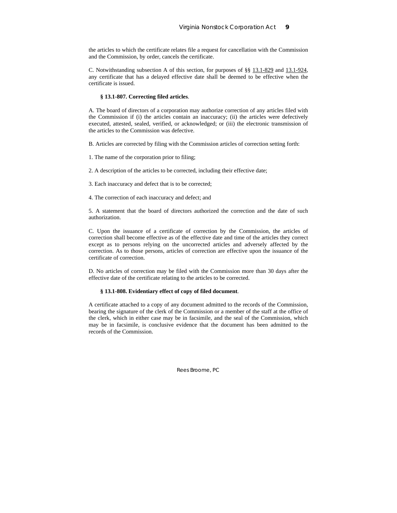the articles to which the certificate relates file a request for cancellation with the Commission and the Commission, by order, cancels the certificate.

C. Notwithstanding subsection A of this section, for purposes of §§ 13.1-829 and 13.1-924, any certificate that has a delayed effective date shall be deemed to be effective when the certificate is issued.

#### **§ 13.1-807. Correcting filed articles**.

A. The board of directors of a corporation may authorize correction of any articles filed with the Commission if (i) the articles contain an inaccuracy; (ii) the articles were defectively executed, attested, sealed, verified, or acknowledged; or (iii) the electronic transmission of the articles to the Commission was defective.

B. Articles are corrected by filing with the Commission articles of correction setting forth:

1. The name of the corporation prior to filing;

2. A description of the articles to be corrected, including their effective date;

3. Each inaccuracy and defect that is to be corrected;

4. The correction of each inaccuracy and defect; and

5. A statement that the board of directors authorized the correction and the date of such authorization.

C. Upon the issuance of a certificate of correction by the Commission, the articles of correction shall become effective as of the effective date and time of the articles they correct except as to persons relying on the uncorrected articles and adversely affected by the correction. As to those persons, articles of correction are effective upon the issuance of the certificate of correction.

D. No articles of correction may be filed with the Commission more than 30 days after the effective date of the certificate relating to the articles to be corrected.

### **§ 13.1-808. Evidentiary effect of copy of filed document**.

A certificate attached to a copy of any document admitted to the records of the Commission, bearing the signature of the clerk of the Commission or a member of the staff at the office of the clerk, which in either case may be in facsimile, and the seal of the Commission, which may be in facsimile, is conclusive evidence that the document has been admitted to the records of the Commission.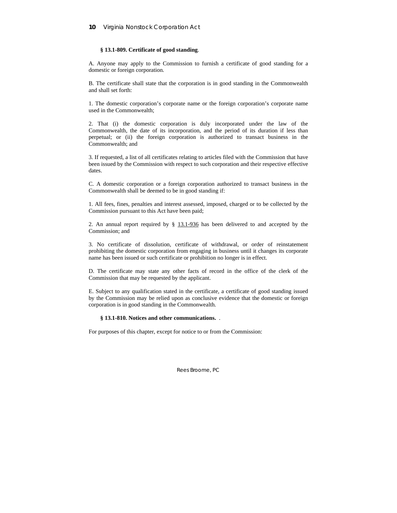### **§ 13.1-809. Certificate of good standing**.

A. Anyone may apply to the Commission to furnish a certificate of good standing for a domestic or foreign corporation.

B. The certificate shall state that the corporation is in good standing in the Commonwealth and shall set forth:

1. The domestic corporation's corporate name or the foreign corporation's corporate name used in the Commonwealth;

2. That (i) the domestic corporation is duly incorporated under the law of the Commonwealth, the date of its incorporation, and the period of its duration if less than perpetual; or (ii) the foreign corporation is authorized to transact business in the Commonwealth; and

3. If requested, a list of all certificates relating to articles filed with the Commission that have been issued by the Commission with respect to such corporation and their respective effective dates.

C. A domestic corporation or a foreign corporation authorized to transact business in the Commonwealth shall be deemed to be in good standing if:

1. All fees, fines, penalties and interest assessed, imposed, charged or to be collected by the Commission pursuant to this Act have been paid;

2. An annual report required by § 13.1-936 has been delivered to and accepted by the Commission; and

3. No certificate of dissolution, certificate of withdrawal, or order of reinstatement prohibiting the domestic corporation from engaging in business until it changes its corporate name has been issued or such certificate or prohibition no longer is in effect.

D. The certificate may state any other facts of record in the office of the clerk of the Commission that may be requested by the applicant.

E. Subject to any qualification stated in the certificate, a certificate of good standing issued by the Commission may be relied upon as conclusive evidence that the domestic or foreign corporation is in good standing in the Commonwealth.

### **§ 13.1-810. Notices and other communications.** .

For purposes of this chapter, except for notice to or from the Commission: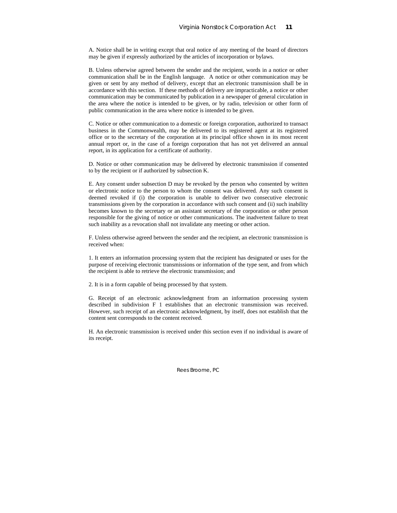A. Notice shall be in writing except that oral notice of any meeting of the board of directors may be given if expressly authorized by the articles of incorporation or bylaws.

B. Unless otherwise agreed between the sender and the recipient, words in a notice or other communication shall be in the English language. A notice or other communication may be given or sent by any method of delivery, except that an electronic transmission shall be in accordance with this section. If these methods of delivery are impracticable, a notice or other communication may be communicated by publication in a newspaper of general circulation in the area where the notice is intended to be given, or by radio, television or other form of public communication in the area where notice is intended to be given.

C. Notice or other communication to a domestic or foreign corporation, authorized to transact business in the Commonwealth, may be delivered to its registered agent at its registered office or to the secretary of the corporation at its principal office shown in its most recent annual report or, in the case of a foreign corporation that has not yet delivered an annual report, in its application for a certificate of authority.

D. Notice or other communication may be delivered by electronic transmission if consented to by the recipient or if authorized by subsection K.

E. Any consent under subsection D may be revoked by the person who consented by written or electronic notice to the person to whom the consent was delivered. Any such consent is deemed revoked if (i) the corporation is unable to deliver two consecutive electronic transmissions given by the corporation in accordance with such consent and (ii) such inability becomes known to the secretary or an assistant secretary of the corporation or other person responsible for the giving of notice or other communications. The inadvertent failure to treat such inability as a revocation shall not invalidate any meeting or other action.

F. Unless otherwise agreed between the sender and the recipient, an electronic transmission is received when:

1. It enters an information processing system that the recipient has designated or uses for the purpose of receiving electronic transmissions or information of the type sent, and from which the recipient is able to retrieve the electronic transmission; and

2. It is in a form capable of being processed by that system.

G. Receipt of an electronic acknowledgment from an information processing system described in subdivision F 1 establishes that an electronic transmission was received. However, such receipt of an electronic acknowledgment, by itself, does not establish that the content sent corresponds to the content received.

H. An electronic transmission is received under this section even if no individual is aware of its receipt.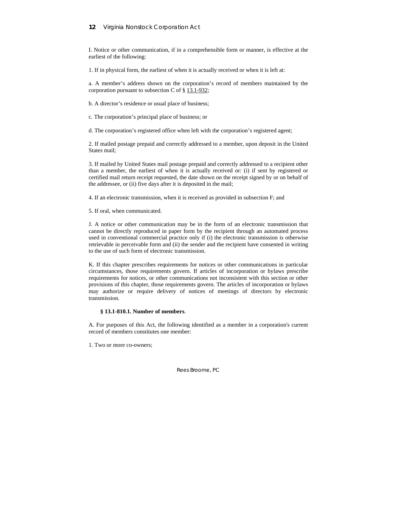## **12** Virginia Nonstock Corporation Act

I. Notice or other communication, if in a comprehensible form or manner, is effective at the earliest of the following:

1. If in physical form, the earliest of when it is actually received or when it is left at:

a. A member's address shown on the corporation's record of members maintained by the corporation pursuant to subsection C of  $\S$  13.1-932;

b. A director's residence or usual place of business;

c. The corporation's principal place of business; or

d. The corporation's registered office when left with the corporation's registered agent;

2. If mailed postage prepaid and correctly addressed to a member, upon deposit in the United States mail;

3. If mailed by United States mail postage prepaid and correctly addressed to a recipient other than a member, the earliest of when it is actually received or: (i) if sent by registered or certified mail return receipt requested, the date shown on the receipt signed by or on behalf of the addressee, or (ii) five days after it is deposited in the mail;

4. If an electronic transmission, when it is received as provided in subsection F; and

5. If oral, when communicated.

J. A notice or other communication may be in the form of an electronic transmission that cannot be directly reproduced in paper form by the recipient through an automated process used in conventional commercial practice only if (i) the electronic transmission is otherwise retrievable in perceivable form and (ii) the sender and the recipient have consented in writing to the use of such form of electronic transmission.

K. If this chapter prescribes requirements for notices or other communications in particular circumstances, those requirements govern. If articles of incorporation or bylaws prescribe requirements for notices, or other communications not inconsistent with this section or other provisions of this chapter, those requirements govern. The articles of incorporation or bylaws may authorize or require delivery of notices of meetings of directors by electronic transmission.

#### **§ 13.1-810.1. Number of members**.

A. For purposes of this Act, the following identified as a member in a corporation's current record of members constitutes one member:

1. Two or more co-owners;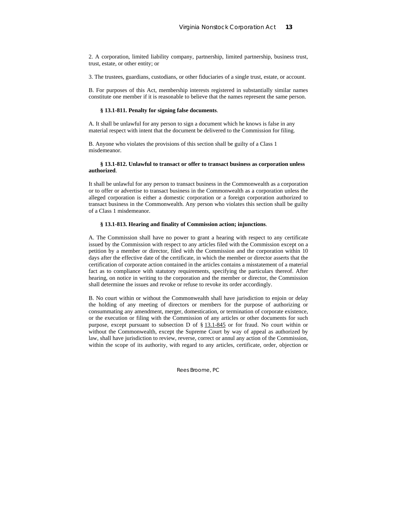2. A corporation, limited liability company, partnership, limited partnership, business trust, trust, estate, or other entity; or

3. The trustees, guardians, custodians, or other fiduciaries of a single trust, estate, or account.

B. For purposes of this Act, membership interests registered in substantially similar names constitute one member if it is reasonable to believe that the names represent the same person.

#### **§ 13.1-811. Penalty for signing false documents**.

A. It shall be unlawful for any person to sign a document which he knows is false in any material respect with intent that the document be delivered to the Commission for filing.

B. Anyone who violates the provisions of this section shall be guilty of a Class 1 misdemeanor.

#### **§ 13.1-812. Unlawful to transact or offer to transact business as corporation unless authorized**.

It shall be unlawful for any person to transact business in the Commonwealth as a corporation or to offer or advertise to transact business in the Commonwealth as a corporation unless the alleged corporation is either a domestic corporation or a foreign corporation authorized to transact business in the Commonwealth. Any person who violates this section shall be guilty of a Class 1 misdemeanor.

### **§ 13.1-813. Hearing and finality of Commission action; injunctions**.

A. The Commission shall have no power to grant a hearing with respect to any certificate issued by the Commission with respect to any articles filed with the Commission except on a petition by a member or director, filed with the Commission and the corporation within 10 days after the effective date of the certificate, in which the member or director asserts that the certification of corporate action contained in the articles contains a misstatement of a material fact as to compliance with statutory requirements, specifying the particulars thereof. After hearing, on notice in writing to the corporation and the member or director, the Commission shall determine the issues and revoke or refuse to revoke its order accordingly.

B. No court within or without the Commonwealth shall have jurisdiction to enjoin or delay the holding of any meeting of directors or members for the purpose of authorizing or consummating any amendment, merger, domestication, or termination of corporate existence, or the execution or filing with the Commission of any articles or other documents for such purpose, except pursuant to subsection D of § 13.1-845 or for fraud. No court within or without the Commonwealth, except the Supreme Court by way of appeal as authorized by law, shall have jurisdiction to review, reverse, correct or annul any action of the Commission, within the scope of its authority, with regard to any articles, certificate, order, objection or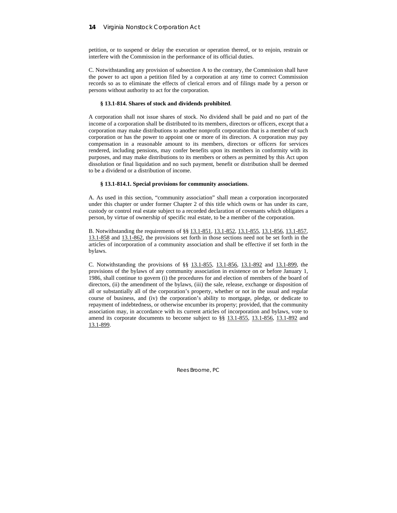petition, or to suspend or delay the execution or operation thereof, or to enjoin, restrain or interfere with the Commission in the performance of its official duties.

C. Notwithstanding any provision of subsection A to the contrary, the Commission shall have the power to act upon a petition filed by a corporation at any time to correct Commission records so as to eliminate the effects of clerical errors and of filings made by a person or persons without authority to act for the corporation.

## **§ 13.1-814. Shares of stock and dividends prohibited**.

A corporation shall not issue shares of stock. No dividend shall be paid and no part of the income of a corporation shall be distributed to its members, directors or officers, except that a corporation may make distributions to another nonprofit corporation that is a member of such corporation or has the power to appoint one or more of its directors. A corporation may pay compensation in a reasonable amount to its members, directors or officers for services rendered, including pensions, may confer benefits upon its members in conformity with its purposes, and may make distributions to its members or others as permitted by this Act upon dissolution or final liquidation and no such payment, benefit or distribution shall be deemed to be a dividend or a distribution of income.

### **§ 13.1-814.1. Special provisions for community associations**.

A. As used in this section, "community association" shall mean a corporation incorporated under this chapter or under former Chapter 2 of this title which owns or has under its care, custody or control real estate subject to a recorded declaration of covenants which obligates a person, by virtue of ownership of specific real estate, to be a member of the corporation.

B. Notwithstanding the requirements of §§ 13.1-851, 13.1-852, 13.1-855, 13.1-856, 13.1-857, 13.1-858 and 13.1-862, the provisions set forth in those sections need not be set forth in the articles of incorporation of a community association and shall be effective if set forth in the bylaws.

C. Notwithstanding the provisions of §§ 13.1-855, 13.1-856, 13.1-892 and 13.1-899, the provisions of the bylaws of any community association in existence on or before January 1, 1986, shall continue to govern (i) the procedures for and election of members of the board of directors, (ii) the amendment of the bylaws, (iii) the sale, release, exchange or disposition of all or substantially all of the corporation's property, whether or not in the usual and regular course of business, and (iv) the corporation's ability to mortgage, pledge, or dedicate to repayment of indebtedness, or otherwise encumber its property; provided, that the community association may, in accordance with its current articles of incorporation and bylaws, vote to amend its corporate documents to become subject to §§ 13.1-855, 13.1-856, 13.1-892 and 13.1-899.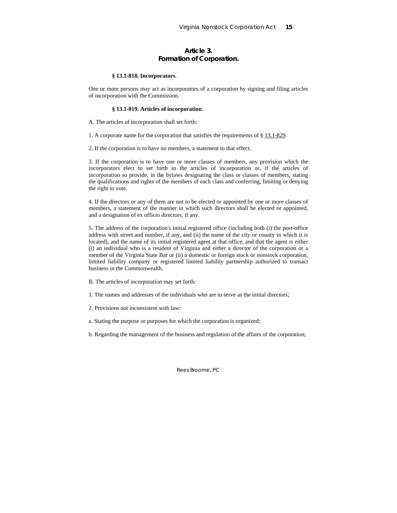## **Article 3. Formation of Corporation.**

#### **§ 13.1-818. Incorporators**.

One or more persons may act as incorporators of a corporation by signing and filing articles of incorporation with the Commission.

#### **§ 13.1-819. Articles of incorporation**.

A. The articles of incorporation shall set forth:

1. A corporate name for the corporation that satisfies the requirements of § 13.1-829.

2. If the corporation is to have no members, a statement to that effect.

3. If the corporation is to have one or more classes of members, any provision which the incorporators elect to set forth in the articles of incorporation or, if the articles of incorporation so provide, in the bylaws designating the class or classes of members, stating the qualifications and rights of the members of each class and conferring, limiting or denying the right to vote.

4. If the directors or any of them are not to be elected or appointed by one or more classes of members, a statement of the manner in which such directors shall be elected or appointed, and a designation of ex officio directors, if any.

5. The address of the corporation's initial registered office (including both (i) the post-office address with street and number, if any, and (ii) the name of the city or county in which it is located), and the name of its initial registered agent at that office, and that the agent is either (i) an individual who is a resident of Virginia and either a director of the corporation or a member of the Virginia State Bar or (ii) a domestic or foreign stock or nonstock corporation, limited liability company or registered limited liability partnership authorized to transact business in the Commonwealth.

- B. The articles of incorporation may set forth:
- 1. The names and addresses of the individuals who are to serve as the initial directors;
- 2. Provisions not inconsistent with law:
- a. Stating the purpose or purposes for which the corporation is organized;
- b. Regarding the management of the business and regulation of the affairs of the corporation;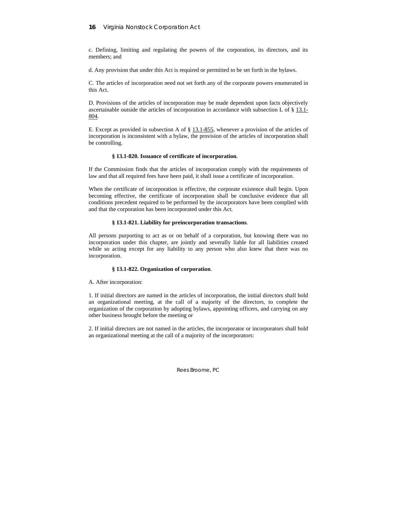## **16** Virginia Nonstock Corporation Act

c. Defining, limiting and regulating the powers of the corporation, its directors, and its members; and

d. Any provision that under this Act is required or permitted to be set forth in the bylaws.

C. The articles of incorporation need not set forth any of the corporate powers enumerated in this Act.

D. Provisions of the articles of incorporation may be made dependent upon facts objectively ascertainable outside the articles of incorporation in accordance with subsection L of  $\S$  13.1-804.

E. Except as provided in subsection A of § 13.1-855, whenever a provision of the articles of incorporation is inconsistent with a bylaw, the provision of the articles of incorporation shall be controlling.

### **§ 13.1-820. Issuance of certificate of incorporation**.

If the Commission finds that the articles of incorporation comply with the requirements of law and that all required fees have been paid, it shall issue a certificate of incorporation.

When the certificate of incorporation is effective, the corporate existence shall begin. Upon becoming effective, the certificate of incorporation shall be conclusive evidence that all conditions precedent required to be performed by the incorporators have been complied with and that the corporation has been incorporated under this Act.

### **§ 13.1-821. Liability for preincorporation transactions**.

All persons purporting to act as or on behalf of a corporation, but knowing there was no incorporation under this chapter, are jointly and severally liable for all liabilities created while so acting except for any liability to any person who also knew that there was no incorporation.

## **§ 13.1-822. Organization of corporation**.

A. After incorporation:

1. If initial directors are named in the articles of incorporation, the initial directors shall hold an organizational meeting, at the call of a majority of the directors, to complete the organization of the corporation by adopting bylaws, appointing officers, and carrying on any other business brought before the meeting or

2. If initial directors are not named in the articles, the incorporator or incorporators shall hold an organizational meeting at the call of a majority of the incorporators: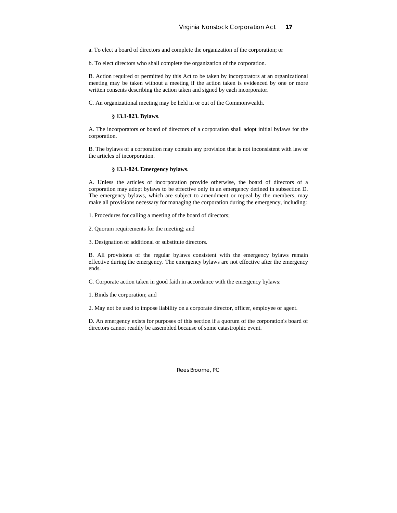a. To elect a board of directors and complete the organization of the corporation; or

b. To elect directors who shall complete the organization of the corporation.

B. Action required or permitted by this Act to be taken by incorporators at an organizational meeting may be taken without a meeting if the action taken is evidenced by one or more written consents describing the action taken and signed by each incorporator.

C. An organizational meeting may be held in or out of the Commonwealth.

#### **§ 13.1-823. Bylaws**.

A. The incorporators or board of directors of a corporation shall adopt initial bylaws for the corporation.

B. The bylaws of a corporation may contain any provision that is not inconsistent with law or the articles of incorporation.

#### **§ 13.1-824. Emergency bylaws**.

A. Unless the articles of incorporation provide otherwise, the board of directors of a corporation may adopt bylaws to be effective only in an emergency defined in subsection D. The emergency bylaws, which are subject to amendment or repeal by the members, may make all provisions necessary for managing the corporation during the emergency, including:

1. Procedures for calling a meeting of the board of directors;

2. Quorum requirements for the meeting; and

3. Designation of additional or substitute directors.

B. All provisions of the regular bylaws consistent with the emergency bylaws remain effective during the emergency. The emergency bylaws are not effective after the emergency ends.

C. Corporate action taken in good faith in accordance with the emergency bylaws:

1. Binds the corporation; and

2. May not be used to impose liability on a corporate director, officer, employee or agent.

D. An emergency exists for purposes of this section if a quorum of the corporation's board of directors cannot readily be assembled because of some catastrophic event.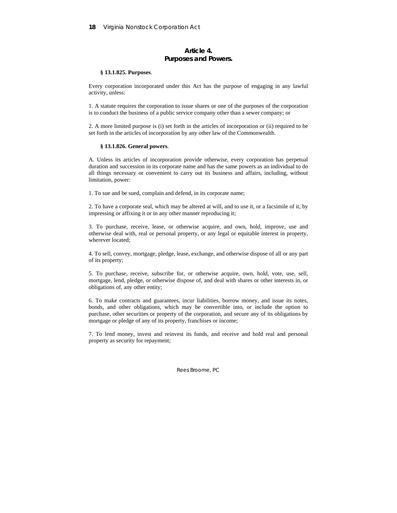## **Article 4. Purposes and Powers.**

#### **§ 13.1.825. Purposes**.

Every corporation incorporated under this Act has the purpose of engaging in any lawful activity, unless:

1. A statute requires the corporation to issue shares or one of the purposes of the corporation is to conduct the business of a public service company other than a sewer company; or

2. A more limited purpose is (i) set forth in the articles of incorporation or (ii) required to be set forth in the articles of incorporation by any other law of the Commonwealth.

### **§ 13.1.826. General powers**.

A. Unless its articles of incorporation provide otherwise, every corporation has perpetual duration and succession in its corporate name and has the same powers as an individual to do all things necessary or convenient to carry out its business and affairs, including, without limitation, power:

1. To sue and be sued, complain and defend, in its corporate name;

2. To have a corporate seal, which may be altered at will, and to use it, or a facsimile of it, by impressing or affixing it or in any other manner reproducing it;

3. To purchase, receive, lease, or otherwise acquire, and own, hold, improve, use and otherwise deal with, real or personal property, or any legal or equitable interest in property, wherever located;

4. To sell, convey, mortgage, pledge, lease, exchange, and otherwise dispose of all or any part of its property;

5. To purchase, receive, subscribe for, or otherwise acquire, own, hold, vote, use, sell, mortgage, lend, pledge, or otherwise dispose of, and deal with shares or other interests in, or obligations of, any other entity;

6. To make contracts and guarantees, incur liabilities, borrow money, and issue its notes, bonds, and other obligations, which may be convertible into, or include the option to purchase, other securities or property of the corporation, and secure any of its obligations by mortgage or pledge of any of its property, franchises or income;

7. To lend money, invest and reinvest its funds, and receive and hold real and personal property as security for repayment;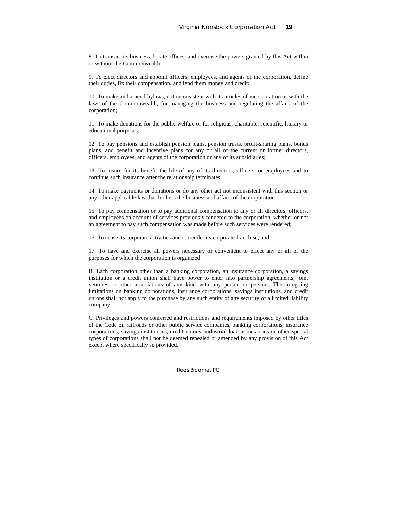8. To transact its business, locate offices, and exercise the powers granted by this Act within or without the Commonwealth;

9. To elect directors and appoint officers, employees, and agents of the corporation, define their duties, fix their compensation, and lend them money and credit;

10. To make and amend bylaws, not inconsistent with its articles of incorporation or with the laws of the Commonwealth, for managing the business and regulating the affairs of the corporation;

11. To make donations for the public welfare or for religious, charitable, scientific, literary or educational purposes;

12. To pay pensions and establish pension plans, pension trusts, profit-sharing plans, bonus plans, and benefit and incentive plans for any or all of the current or former directors, officers, employees, and agents of the corporation or any of its subsidiaries;

13. To insure for its benefit the life of any of its directors, officers, or employees and to continue such insurance after the relationship terminates;

14. To make payments or donations or do any other act not inconsistent with this section or any other applicable law that furthers the business and affairs of the corporation;

15. To pay compensation or to pay additional compensation to any or all directors, officers, and employees on account of services previously rendered to the corporation, whether or not an agreement to pay such compensation was made before such services were rendered;

16. To cease its corporate activities and surrender its corporate franchise; and

17. To have and exercise all powers necessary or convenient to effect any or all of the purposes for which the corporation is organized.

B. Each corporation other than a banking corporation, an insurance corporation, a savings institution or a credit union shall have power to enter into partnership agreements, joint ventures or other associations of any kind with any person or persons. The foregoing limitations on banking corporations, insurance corporations, savings institutions, and credit unions shall not apply to the purchase by any such entity of any security of a limited liability company.

C. Privileges and powers conferred and restrictions and requirements imposed by other titles of the Code on railroads or other public service companies, banking corporations, insurance corporations, savings institutions, credit unions, industrial loan associations or other special types of corporations shall not be deemed repealed or amended by any provision of this Act except where specifically so provided.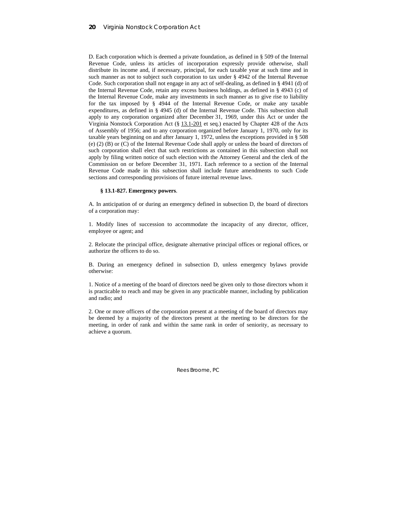D. Each corporation which is deemed a private foundation, as defined in § 509 of the Internal Revenue Code, unless its articles of incorporation expressly provide otherwise, shall distribute its income and, if necessary, principal, for each taxable year at such time and in such manner as not to subject such corporation to tax under § 4942 of the Internal Revenue Code. Such corporation shall not engage in any act of self-dealing, as defined in § 4941 (d) of the Internal Revenue Code, retain any excess business holdings, as defined in § 4943 (c) of the Internal Revenue Code, make any investments in such manner as to give rise to liability for the tax imposed by § 4944 of the Internal Revenue Code, or make any taxable expenditures, as defined in § 4945 (d) of the Internal Revenue Code. This subsection shall apply to any corporation organized after December 31, 1969, under this Act or under the Virginia Nonstock Corporation Act (§ 13.1-201 et seq.) enacted by Chapter 428 of the Acts of Assembly of 1956; and to any corporation organized before January 1, 1970, only for its taxable years beginning on and after January 1, 1972, unless the exceptions provided in § 508 (e) (2) (B) or (C) of the Internal Revenue Code shall apply or unless the board of directors of such corporation shall elect that such restrictions as contained in this subsection shall not apply by filing written notice of such election with the Attorney General and the clerk of the Commission on or before December 31, 1971. Each reference to a section of the Internal Revenue Code made in this subsection shall include future amendments to such Code sections and corresponding provisions of future internal revenue laws.

#### **§ 13.1-827. Emergency powers**.

A. In anticipation of or during an emergency defined in subsection D, the board of directors of a corporation may:

1. Modify lines of succession to accommodate the incapacity of any director, officer, employee or agent; and

2. Relocate the principal office, designate alternative principal offices or regional offices, or authorize the officers to do so.

B. During an emergency defined in subsection D, unless emergency bylaws provide otherwise:

1. Notice of a meeting of the board of directors need be given only to those directors whom it is practicable to reach and may be given in any practicable manner, including by publication and radio; and

2. One or more officers of the corporation present at a meeting of the board of directors may be deemed by a majority of the directors present at the meeting to be directors for the meeting, in order of rank and within the same rank in order of seniority, as necessary to achieve a quorum.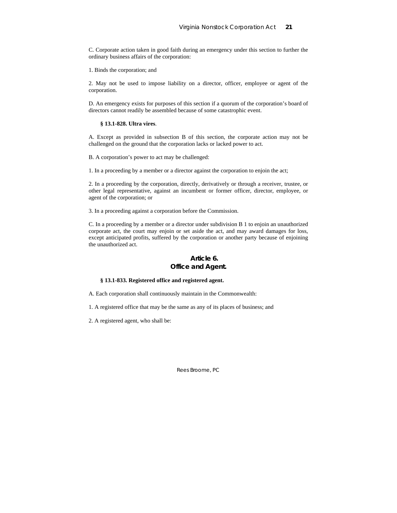C. Corporate action taken in good faith during an emergency under this section to further the ordinary business affairs of the corporation:

1. Binds the corporation; and

2. May not be used to impose liability on a director, officer, employee or agent of the corporation.

D. An emergency exists for purposes of this section if a quorum of the corporation's board of directors cannot readily be assembled because of some catastrophic event.

#### **§ 13.1-828. Ultra vires**.

A. Except as provided in subsection B of this section, the corporate action may not be challenged on the ground that the corporation lacks or lacked power to act.

B. A corporation's power to act may be challenged:

1. In a proceeding by a member or a director against the corporation to enjoin the act;

2. In a proceeding by the corporation, directly, derivatively or through a receiver, trustee, or other legal representative, against an incumbent or former officer, director, employee, or agent of the corporation; or

3. In a proceeding against a corporation before the Commission.

C. In a proceeding by a member or a director under subdivision B 1 to enjoin an unauthorized corporate act, the court may enjoin or set aside the act, and may award damages for loss, except anticipated profits, suffered by the corporation or another party because of enjoining the unauthorized act.

## **Article 6. Office and Agent.**

#### **§ 13.1-833. Registered office and registered agent.**

A. Each corporation shall continuously maintain in the Commonwealth:

- 1. A registered office that may be the same as any of its places of business; and
- 2. A registered agent, who shall be: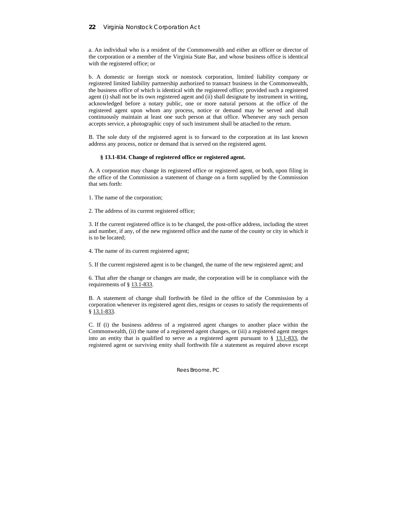a. An individual who is a resident of the Commonwealth and either an officer or director of the corporation or a member of the Virginia State Bar, and whose business office is identical with the registered office; or

b. A domestic or foreign stock or nonstock corporation, limited liability company or registered limited liability partnership authorized to transact business in the Commonwealth, the business office of which is identical with the registered office; provided such a registered agent (i) shall not be its own registered agent and (ii) shall designate by instrument in writing, acknowledged before a notary public, one or more natural persons at the office of the registered agent upon whom any process, notice or demand may be served and shall continuously maintain at least one such person at that office. Whenever any such person accepts service, a photographic copy of such instrument shall be attached to the return.

B. The sole duty of the registered agent is to forward to the corporation at its last known address any process, notice or demand that is served on the registered agent.

### **§ 13.1-834. Change of registered office or registered agent.**

A. A corporation may change its registered office or registered agent, or both, upon filing in the office of the Commission a statement of change on a form supplied by the Commission that sets forth:

1. The name of the corporation;

2. The address of its current registered office;

3. If the current registered office is to be changed, the post-office address, including the street and number, if any, of the new registered office and the name of the county or city in which it is to be located;

4. The name of its current registered agent;

5. If the current registered agent is to be changed, the name of the new registered agent; and

6. That after the change or changes are made, the corporation will be in compliance with the requirements of § 13.1-833.

B. A statement of change shall forthwith be filed in the office of the Commission by a corporation whenever its registered agent dies, resigns or ceases to satisfy the requirements of § 13.1-833.

C. If (i) the business address of a registered agent changes to another place within the Commonwealth, (ii) the name of a registered agent changes, or (iii) a registered agent merges into an entity that is qualified to serve as a registered agent pursuant to  $\S$  13.1-833, the registered agent or surviving entity shall forthwith file a statement as required above except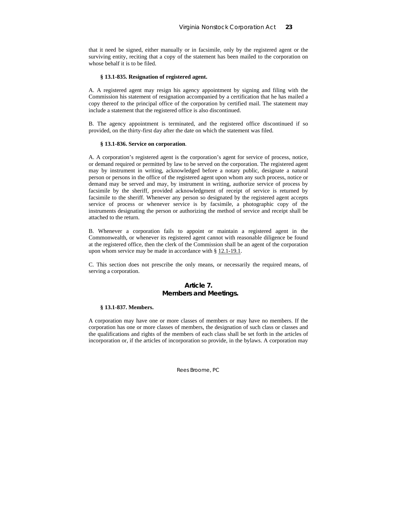that it need be signed, either manually or in facsimile, only by the registered agent or the surviving entity, reciting that a copy of the statement has been mailed to the corporation on whose behalf it is to be filed.

#### **§ 13.1-835. Resignation of registered agent.**

A. A registered agent may resign his agency appointment by signing and filing with the Commission his statement of resignation accompanied by a certification that he has mailed a copy thereof to the principal office of the corporation by certified mail. The statement may include a statement that the registered office is also discontinued.

B. The agency appointment is terminated, and the registered office discontinued if so provided, on the thirty-first day after the date on which the statement was filed.

#### **§ 13.1-836. Service on corporation**.

A. A corporation's registered agent is the corporation's agent for service of process, notice, or demand required or permitted by law to be served on the corporation. The registered agent may by instrument in writing, acknowledged before a notary public, designate a natural person or persons in the office of the registered agent upon whom any such process, notice or demand may be served and may, by instrument in writing, authorize service of process by facsimile by the sheriff, provided acknowledgment of receipt of service is returned by facsimile to the sheriff. Whenever any person so designated by the registered agent accepts service of process or whenever service is by facsimile, a photographic copy of the instruments designating the person or authorizing the method of service and receipt shall be attached to the return.

B. Whenever a corporation fails to appoint or maintain a registered agent in the Commonwealth, or whenever its registered agent cannot with reasonable diligence be found at the registered office, then the clerk of the Commission shall be an agent of the corporation upon whom service may be made in accordance with § 12.1-19.1.

C. This section does not prescribe the only means, or necessarily the required means, of serving a corporation.

## **Article 7. Members and Meetings.**

#### **§ 13.1-837. Members.**

A corporation may have one or more classes of members or may have no members. If the corporation has one or more classes of members, the designation of such class or classes and the qualifications and rights of the members of each class shall be set forth in the articles of incorporation or, if the articles of incorporation so provide, in the bylaws. A corporation may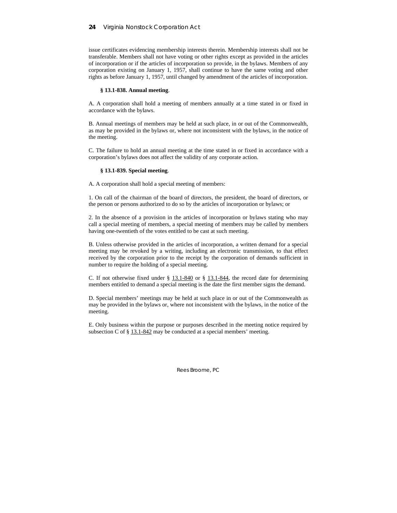issue certificates evidencing membership interests therein. Membership interests shall not be transferable. Members shall not have voting or other rights except as provided in the articles of incorporation or if the articles of incorporation so provide, in the bylaws. Members of any corporation existing on January 1, 1957, shall continue to have the same voting and other rights as before January 1, 1957, until changed by amendment of the articles of incorporation.

#### **§ 13.1-838. Annual meeting**.

A. A corporation shall hold a meeting of members annually at a time stated in or fixed in accordance with the bylaws.

B. Annual meetings of members may be held at such place, in or out of the Commonwealth, as may be provided in the bylaws or, where not inconsistent with the bylaws, in the notice of the meeting.

C. The failure to hold an annual meeting at the time stated in or fixed in accordance with a corporation's bylaws does not affect the validity of any corporate action.

#### **§ 13.1-839. Special meeting**.

A. A corporation shall hold a special meeting of members:

1. On call of the chairman of the board of directors, the president, the board of directors, or the person or persons authorized to do so by the articles of incorporation or bylaws; or

2. In the absence of a provision in the articles of incorporation or bylaws stating who may call a special meeting of members, a special meeting of members may be called by members having one-twentieth of the votes entitled to be cast at such meeting.

B. Unless otherwise provided in the articles of incorporation, a written demand for a special meeting may be revoked by a writing, including an electronic transmission, to that effect received by the corporation prior to the receipt by the corporation of demands sufficient in number to require the holding of a special meeting.

C. If not otherwise fixed under  $\S$  13.1-840 or  $\S$  13.1-844, the record date for determining members entitled to demand a special meeting is the date the first member signs the demand.

D. Special members' meetings may be held at such place in or out of the Commonwealth as may be provided in the bylaws or, where not inconsistent with the bylaws, in the notice of the meeting.

E. Only business within the purpose or purposes described in the meeting notice required by subsection C of  $\S$  13.1-842 may be conducted at a special members' meeting.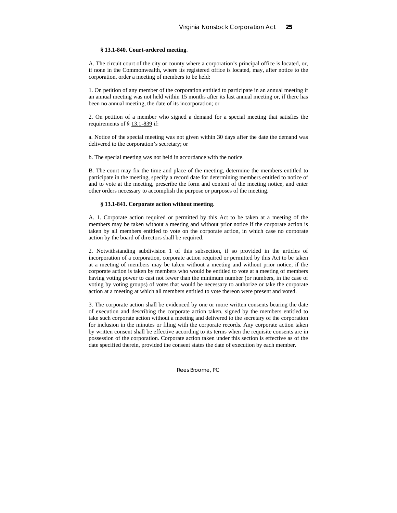## **§ 13.1-840. Court-ordered meeting**.

A. The circuit court of the city or county where a corporation's principal office is located, or, if none in the Commonwealth, where its registered office is located, may, after notice to the corporation, order a meeting of members to be held:

1. On petition of any member of the corporation entitled to participate in an annual meeting if an annual meeting was not held within 15 months after its last annual meeting or, if there has been no annual meeting, the date of its incorporation; or

2. On petition of a member who signed a demand for a special meeting that satisfies the requirements of § 13.1-839 if:

a. Notice of the special meeting was not given within 30 days after the date the demand was delivered to the corporation's secretary; or

b. The special meeting was not held in accordance with the notice.

B. The court may fix the time and place of the meeting, determine the members entitled to participate in the meeting, specify a record date for determining members entitled to notice of and to vote at the meeting, prescribe the form and content of the meeting notice, and enter other orders necessary to accomplish the purpose or purposes of the meeting.

## **§ 13.1-841. Corporate action without meeting**.

A. 1. Corporate action required or permitted by this Act to be taken at a meeting of the members may be taken without a meeting and without prior notice if the corporate action is taken by all members entitled to vote on the corporate action, in which case no corporate action by the board of directors shall be required.

2. Notwithstanding subdivision 1 of this subsection, if so provided in the articles of incorporation of a corporation, corporate action required or permitted by this Act to be taken at a meeting of members may be taken without a meeting and without prior notice, if the corporate action is taken by members who would be entitled to vote at a meeting of members having voting power to cast not fewer than the minimum number (or numbers, in the case of voting by voting groups) of votes that would be necessary to authorize or take the corporate action at a meeting at which all members entitled to vote thereon were present and voted.

3. The corporate action shall be evidenced by one or more written consents bearing the date of execution and describing the corporate action taken, signed by the members entitled to take such corporate action without a meeting and delivered to the secretary of the corporation for inclusion in the minutes or filing with the corporate records. Any corporate action taken by written consent shall be effective according to its terms when the requisite consents are in possession of the corporation. Corporate action taken under this section is effective as of the date specified therein, provided the consent states the date of execution by each member.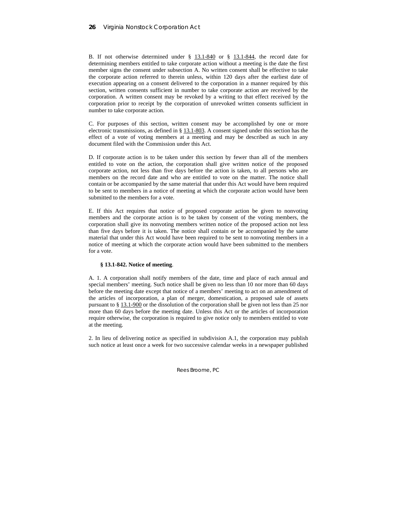B. If not otherwise determined under  $\S$  13.1-840 or  $\S$  13.1-844, the record date for determining members entitled to take corporate action without a meeting is the date the first member signs the consent under subsection A. No written consent shall be effective to take the corporate action referred to therein unless, within 120 days after the earliest date of execution appearing on a consent delivered to the corporation in a manner required by this section, written consents sufficient in number to take corporate action are received by the corporation. A written consent may be revoked by a writing to that effect received by the corporation prior to receipt by the corporation of unrevoked written consents sufficient in number to take corporate action.

C. For purposes of this section, written consent may be accomplished by one or more electronic transmissions, as defined in § 13.1-803. A consent signed under this section has the effect of a vote of voting members at a meeting and may be described as such in any document filed with the Commission under this Act.

D. If corporate action is to be taken under this section by fewer than all of the members entitled to vote on the action, the corporation shall give written notice of the proposed corporate action, not less than five days before the action is taken, to all persons who are members on the record date and who are entitled to vote on the matter. The notice shall contain or be accompanied by the same material that under this Act would have been required to be sent to members in a notice of meeting at which the corporate action would have been submitted to the members for a vote.

E. If this Act requires that notice of proposed corporate action be given to nonvoting members and the corporate action is to be taken by consent of the voting members, the corporation shall give its nonvoting members written notice of the proposed action not less than five days before it is taken. The notice shall contain or be accompanied by the same material that under this Act would have been required to be sent to nonvoting members in a notice of meeting at which the corporate action would have been submitted to the members for a vote.

#### **§ 13.1-842. Notice of meeting**.

A. 1. A corporation shall notify members of the date, time and place of each annual and special members' meeting. Such notice shall be given no less than 10 nor more than 60 days before the meeting date except that notice of a members' meeting to act on an amendment of the articles of incorporation, a plan of merger, domestication, a proposed sale of assets pursuant to § 13.1-900 or the dissolution of the corporation shall be given not less than 25 nor more than 60 days before the meeting date. Unless this Act or the articles of incorporation require otherwise, the corporation is required to give notice only to members entitled to vote at the meeting.

2. In lieu of delivering notice as specified in subdivision A.1, the corporation may publish such notice at least once a week for two successive calendar weeks in a newspaper published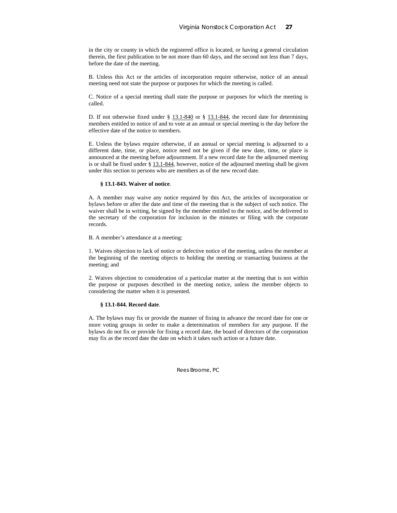in the city or county in which the registered office is located, or having a general circulation therein, the first publication to be not more than 60 days, and the second not less than 7 days, before the date of the meeting.

B. Unless this Act or the articles of incorporation require otherwise, notice of an annual meeting need not state the purpose or purposes for which the meeting is called.

C. Notice of a special meeting shall state the purpose or purposes for which the meeting is called.

D. If not otherwise fixed under  $\S$  13.1-840 or  $\S$  13.1-844, the record date for determining members entitled to notice of and to vote at an annual or special meeting is the day before the effective date of the notice to members.

E. Unless the bylaws require otherwise, if an annual or special meeting is adjourned to a different date, time, or place, notice need not be given if the new date, time, or place is announced at the meeting before adjournment. If a new record date for the adjourned meeting is or shall be fixed under § 13.1-844, however, notice of the adjourned meeting shall be given under this section to persons who are members as of the new record date.

#### **§ 13.1-843. Waiver of notice**.

A. A member may waive any notice required by this Act, the articles of incorporation or bylaws before or after the date and time of the meeting that is the subject of such notice. The waiver shall be in writing, be signed by the member entitled to the notice, and be delivered to the secretary of the corporation for inclusion in the minutes or filing with the corporate records.

B. A member's attendance at a meeting:

1. Waives objection to lack of notice or defective notice of the meeting, unless the member at the beginning of the meeting objects to holding the meeting or transacting business at the meeting; and

2. Waives objection to consideration of a particular matter at the meeting that is not within the purpose or purposes described in the meeting notice, unless the member objects to considering the matter when it is presented.

## **§ 13.1-844. Record date**.

A. The bylaws may fix or provide the manner of fixing in advance the record date for one or more voting groups in order to make a determination of members for any purpose. If the bylaws do not fix or provide for fixing a record date, the board of directors of the corporation may fix as the record date the date on which it takes such action or a future date.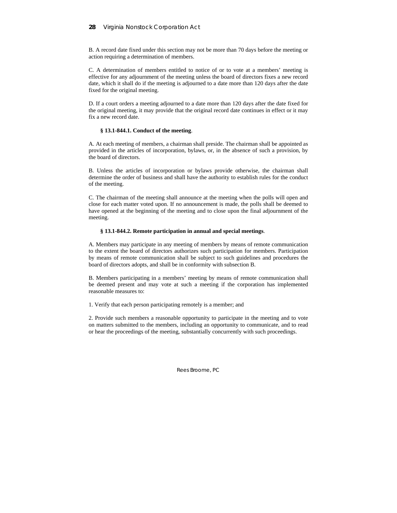B. A record date fixed under this section may not be more than 70 days before the meeting or action requiring a determination of members.

C. A determination of members entitled to notice of or to vote at a members' meeting is effective for any adjournment of the meeting unless the board of directors fixes a new record date, which it shall do if the meeting is adjourned to a date more than 120 days after the date fixed for the original meeting.

D. If a court orders a meeting adjourned to a date more than 120 days after the date fixed for the original meeting, it may provide that the original record date continues in effect or it may fix a new record date.

### **§ 13.1-844.1. Conduct of the meeting**.

A. At each meeting of members, a chairman shall preside. The chairman shall be appointed as provided in the articles of incorporation, bylaws, or, in the absence of such a provision, by the board of directors.

B. Unless the articles of incorporation or bylaws provide otherwise, the chairman shall determine the order of business and shall have the authority to establish rules for the conduct of the meeting.

C. The chairman of the meeting shall announce at the meeting when the polls will open and close for each matter voted upon. If no announcement is made, the polls shall be deemed to have opened at the beginning of the meeting and to close upon the final adjournment of the meeting.

## **§ 13.1-844.2. Remote participation in annual and special meetings**.

A. Members may participate in any meeting of members by means of remote communication to the extent the board of directors authorizes such participation for members. Participation by means of remote communication shall be subject to such guidelines and procedures the board of directors adopts, and shall be in conformity with subsection B.

B. Members participating in a members' meeting by means of remote communication shall be deemed present and may vote at such a meeting if the corporation has implemented reasonable measures to:

1. Verify that each person participating remotely is a member; and

2. Provide such members a reasonable opportunity to participate in the meeting and to vote on matters submitted to the members, including an opportunity to communicate, and to read or hear the proceedings of the meeting, substantially concurrently with such proceedings.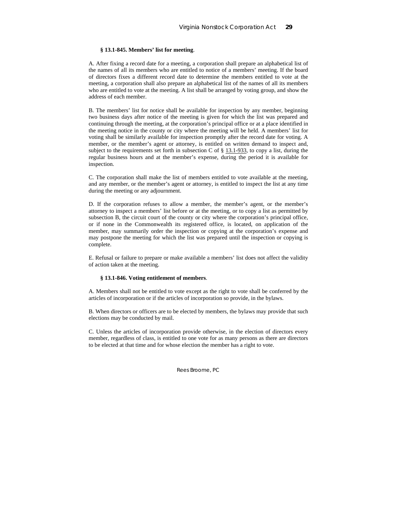## **§ 13.1-845. Members' list for meeting**.

A. After fixing a record date for a meeting, a corporation shall prepare an alphabetical list of the names of all its members who are entitled to notice of a members' meeting. If the board of directors fixes a different record date to determine the members entitled to vote at the meeting, a corporation shall also prepare an alphabetical list of the names of all its members who are entitled to vote at the meeting. A list shall be arranged by voting group, and show the address of each member.

B. The members' list for notice shall be available for inspection by any member, beginning two business days after notice of the meeting is given for which the list was prepared and continuing through the meeting, at the corporation's principal office or at a place identified in the meeting notice in the county or city where the meeting will be held. A members' list for voting shall be similarly available for inspection promptly after the record date for voting. A member, or the member's agent or attorney, is entitled on written demand to inspect and, subject to the requirements set forth in subsection C of  $\S$  13.1-933, to copy a list, during the regular business hours and at the member's expense, during the period it is available for inspection.

C. The corporation shall make the list of members entitled to vote available at the meeting, and any member, or the member's agent or attorney, is entitled to inspect the list at any time during the meeting or any adjournment.

D. If the corporation refuses to allow a member, the member's agent, or the member's attorney to inspect a members' list before or at the meeting, or to copy a list as permitted by subsection B, the circuit court of the county or city where the corporation's principal office, or if none in the Commonwealth its registered office, is located, on application of the member, may summarily order the inspection or copying at the corporation's expense and may postpone the meeting for which the list was prepared until the inspection or copying is complete.

E. Refusal or failure to prepare or make available a members' list does not affect the validity of action taken at the meeting.

## **§ 13.1-846. Voting entitlement of members**.

A. Members shall not be entitled to vote except as the right to vote shall be conferred by the articles of incorporation or if the articles of incorporation so provide, in the bylaws.

B. When directors or officers are to be elected by members, the bylaws may provide that such elections may be conducted by mail.

C. Unless the articles of incorporation provide otherwise, in the election of directors every member, regardless of class, is entitled to one vote for as many persons as there are directors to be elected at that time and for whose election the member has a right to vote.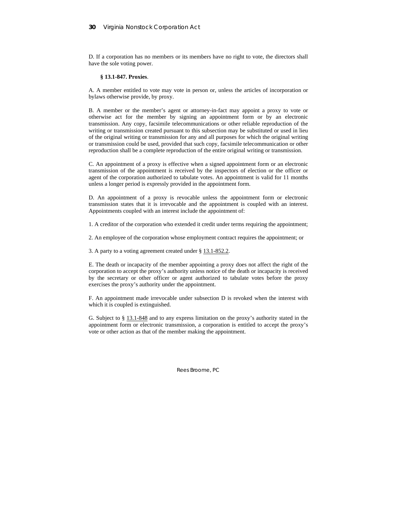D. If a corporation has no members or its members have no right to vote, the directors shall have the sole voting power.

### **§ 13.1-847. Proxies**.

A. A member entitled to vote may vote in person or, unless the articles of incorporation or bylaws otherwise provide, by proxy.

B. A member or the member's agent or attorney-in-fact may appoint a proxy to vote or otherwise act for the member by signing an appointment form or by an electronic transmission. Any copy, facsimile telecommunications or other reliable reproduction of the writing or transmission created pursuant to this subsection may be substituted or used in lieu of the original writing or transmission for any and all purposes for which the original writing or transmission could be used, provided that such copy, facsimile telecommunication or other reproduction shall be a complete reproduction of the entire original writing or transmission.

C. An appointment of a proxy is effective when a signed appointment form or an electronic transmission of the appointment is received by the inspectors of election or the officer or agent of the corporation authorized to tabulate votes. An appointment is valid for 11 months unless a longer period is expressly provided in the appointment form.

D. An appointment of a proxy is revocable unless the appointment form or electronic transmission states that it is irrevocable and the appointment is coupled with an interest. Appointments coupled with an interest include the appointment of:

1. A creditor of the corporation who extended it credit under terms requiring the appointment;

2. An employee of the corporation whose employment contract requires the appointment; or

3. A party to a voting agreement created under § 13.1-852.2.

E. The death or incapacity of the member appointing a proxy does not affect the right of the corporation to accept the proxy's authority unless notice of the death or incapacity is received by the secretary or other officer or agent authorized to tabulate votes before the proxy exercises the proxy's authority under the appointment.

F. An appointment made irrevocable under subsection D is revoked when the interest with which it is coupled is extinguished.

G. Subject to § 13.1-848 and to any express limitation on the proxy's authority stated in the appointment form or electronic transmission, a corporation is entitled to accept the proxy's vote or other action as that of the member making the appointment.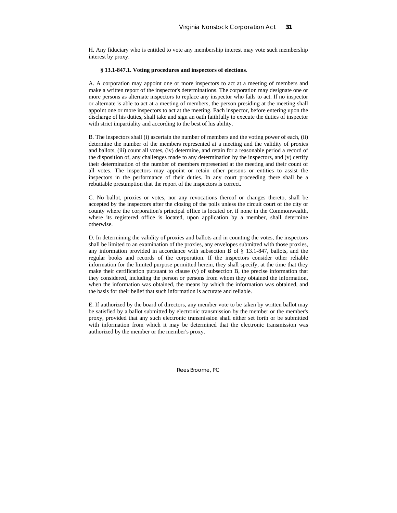H. Any fiduciary who is entitled to vote any membership interest may vote such membership interest by proxy.

### **§ 13.1-847.1. Voting procedures and inspectors of elections**.

A. A corporation may appoint one or more inspectors to act at a meeting of members and make a written report of the inspector's determinations. The corporation may designate one or more persons as alternate inspectors to replace any inspector who fails to act. If no inspector or alternate is able to act at a meeting of members, the person presiding at the meeting shall appoint one or more inspectors to act at the meeting. Each inspector, before entering upon the discharge of his duties, shall take and sign an oath faithfully to execute the duties of inspector with strict impartiality and according to the best of his ability.

B. The inspectors shall (i) ascertain the number of members and the voting power of each, (ii) determine the number of the members represented at a meeting and the validity of proxies and ballots, (iii) count all votes, (iv) determine, and retain for a reasonable period a record of the disposition of, any challenges made to any determination by the inspectors, and (v) certify their determination of the number of members represented at the meeting and their count of all votes. The inspectors may appoint or retain other persons or entities to assist the inspectors in the performance of their duties. In any court proceeding there shall be a rebuttable presumption that the report of the inspectors is correct.

C. No ballot, proxies or votes, nor any revocations thereof or changes thereto, shall be accepted by the inspectors after the closing of the polls unless the circuit court of the city or county where the corporation's principal office is located or, if none in the Commonwealth, where its registered office is located, upon application by a member, shall determine otherwise.

D. In determining the validity of proxies and ballots and in counting the votes, the inspectors shall be limited to an examination of the proxies, any envelopes submitted with those proxies, any information provided in accordance with subsection B of § 13.1-847, ballots, and the regular books and records of the corporation. If the inspectors consider other reliable information for the limited purpose permitted herein, they shall specify, at the time that they make their certification pursuant to clause (v) of subsection B, the precise information that they considered, including the person or persons from whom they obtained the information, when the information was obtained, the means by which the information was obtained, and the basis for their belief that such information is accurate and reliable.

E. If authorized by the board of directors, any member vote to be taken by written ballot may be satisfied by a ballot submitted by electronic transmission by the member or the member's proxy, provided that any such electronic transmission shall either set forth or be submitted with information from which it may be determined that the electronic transmission was authorized by the member or the member's proxy.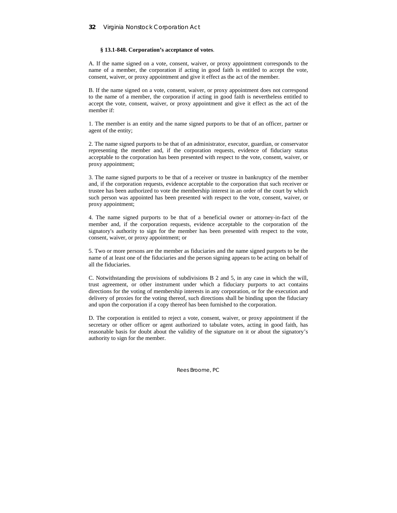## **§ 13.1-848. Corporation's acceptance of votes**.

A. If the name signed on a vote, consent, waiver, or proxy appointment corresponds to the name of a member, the corporation if acting in good faith is entitled to accept the vote, consent, waiver, or proxy appointment and give it effect as the act of the member.

B. If the name signed on a vote, consent, waiver, or proxy appointment does not correspond to the name of a member, the corporation if acting in good faith is nevertheless entitled to accept the vote, consent, waiver, or proxy appointment and give it effect as the act of the member if:

1. The member is an entity and the name signed purports to be that of an officer, partner or agent of the entity;

2. The name signed purports to be that of an administrator, executor, guardian, or conservator representing the member and, if the corporation requests, evidence of fiduciary status acceptable to the corporation has been presented with respect to the vote, consent, waiver, or proxy appointment;

3. The name signed purports to be that of a receiver or trustee in bankruptcy of the member and, if the corporation requests, evidence acceptable to the corporation that such receiver or trustee has been authorized to vote the membership interest in an order of the court by which such person was appointed has been presented with respect to the vote, consent, waiver, or proxy appointment;

4. The name signed purports to be that of a beneficial owner or attorney-in-fact of the member and, if the corporation requests, evidence acceptable to the corporation of the signatory's authority to sign for the member has been presented with respect to the vote, consent, waiver, or proxy appointment; or

5. Two or more persons are the member as fiduciaries and the name signed purports to be the name of at least one of the fiduciaries and the person signing appears to be acting on behalf of all the fiduciaries.

C. Notwithstanding the provisions of subdivisions B 2 and 5, in any case in which the will, trust agreement, or other instrument under which a fiduciary purports to act contains directions for the voting of membership interests in any corporation, or for the execution and delivery of proxies for the voting thereof, such directions shall be binding upon the fiduciary and upon the corporation if a copy thereof has been furnished to the corporation.

D. The corporation is entitled to reject a vote, consent, waiver, or proxy appointment if the secretary or other officer or agent authorized to tabulate votes, acting in good faith, has reasonable basis for doubt about the validity of the signature on it or about the signatory's authority to sign for the member.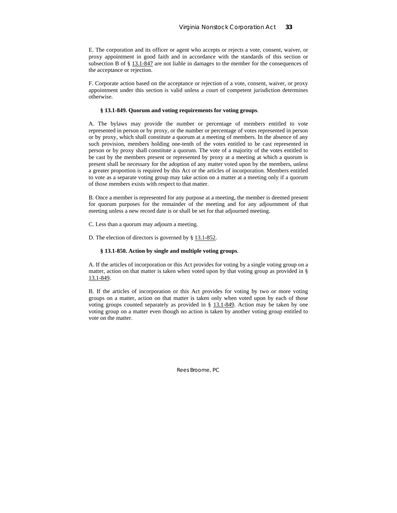E. The corporation and its officer or agent who accepts or rejects a vote, consent, waiver, or proxy appointment in good faith and in accordance with the standards of this section or subsection B of § 13.1-847 are not liable in damages to the member for the consequences of the acceptance or rejection.

F. Corporate action based on the acceptance or rejection of a vote, consent, waiver, or proxy appointment under this section is valid unless a court of competent jurisdiction determines otherwise.

## **§ 13.1-849. Quorum and voting requirements for voting groups**.

A. The bylaws may provide the number or percentage of members entitled to vote represented in person or by proxy, or the number or percentage of votes represented in person or by proxy, which shall constitute a quorum at a meeting of members. In the absence of any such provision, members holding one-tenth of the votes entitled to be cast represented in person or by proxy shall constitute a quorum. The vote of a majority of the votes entitled to be cast by the members present or represented by proxy at a meeting at which a quorum is present shall be necessary for the adoption of any matter voted upon by the members, unless a greater proportion is required by this Act or the articles of incorporation. Members entitled to vote as a separate voting group may take action on a matter at a meeting only if a quorum of those members exists with respect to that matter.

B. Once a member is represented for any purpose at a meeting, the member is deemed present for quorum purposes for the remainder of the meeting and for any adjournment of that meeting unless a new record date is or shall be set for that adjourned meeting.

C. Less than a quorum may adjourn a meeting.

D. The election of directors is governed by § 13.1-852.

### **§ 13.1-850. Action by single and multiple voting groups**.

A. If the articles of incorporation or this Act provides for voting by a single voting group on a matter, action on that matter is taken when voted upon by that voting group as provided in § 13.1-849.

B. If the articles of incorporation or this Act provides for voting by two or more voting groups on a matter, action on that matter is taken only when voted upon by each of those voting groups counted separately as provided in § 13.1-849. Action may be taken by one voting group on a matter even though no action is taken by another voting group entitled to vote on the matter.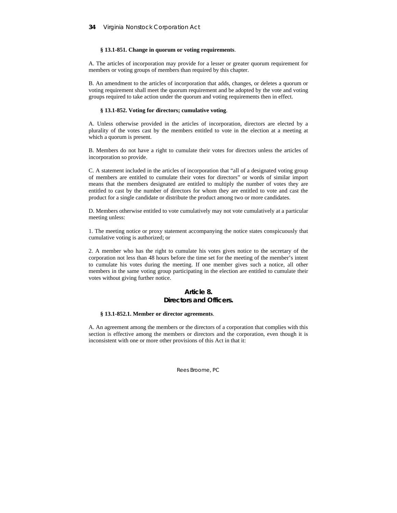## **§ 13.1-851. Change in quorum or voting requirements**.

A. The articles of incorporation may provide for a lesser or greater quorum requirement for members or voting groups of members than required by this chapter.

B. An amendment to the articles of incorporation that adds, changes, or deletes a quorum or voting requirement shall meet the quorum requirement and be adopted by the vote and voting groups required to take action under the quorum and voting requirements then in effect.

### **§ 13.1-852. Voting for directors; cumulative voting**.

A. Unless otherwise provided in the articles of incorporation, directors are elected by a plurality of the votes cast by the members entitled to vote in the election at a meeting at which a quorum is present.

B. Members do not have a right to cumulate their votes for directors unless the articles of incorporation so provide.

C. A statement included in the articles of incorporation that "all of a designated voting group of members are entitled to cumulate their votes for directors" or words of similar import means that the members designated are entitled to multiply the number of votes they are entitled to cast by the number of directors for whom they are entitled to vote and cast the product for a single candidate or distribute the product among two or more candidates.

D. Members otherwise entitled to vote cumulatively may not vote cumulatively at a particular meeting unless:

1. The meeting notice or proxy statement accompanying the notice states conspicuously that cumulative voting is authorized; or

2. A member who has the right to cumulate his votes gives notice to the secretary of the corporation not less than 48 hours before the time set for the meeting of the member's intent to cumulate his votes during the meeting. If one member gives such a notice, all other members in the same voting group participating in the election are entitled to cumulate their votes without giving further notice.

## **Article 8. Directors and Officers.**

### **§ 13.1-852.1. Member or director agreements**.

A. An agreement among the members or the directors of a corporation that complies with this section is effective among the members or directors and the corporation, even though it is inconsistent with one or more other provisions of this Act in that it: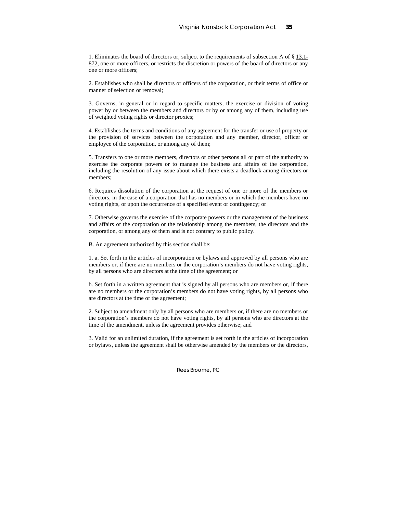1. Eliminates the board of directors or, subject to the requirements of subsection A of § 13.1- 872, one or more officers, or restricts the discretion or powers of the board of directors or any one or more officers;

2. Establishes who shall be directors or officers of the corporation, or their terms of office or manner of selection or removal;

3. Governs, in general or in regard to specific matters, the exercise or division of voting power by or between the members and directors or by or among any of them, including use of weighted voting rights or director proxies;

4. Establishes the terms and conditions of any agreement for the transfer or use of property or the provision of services between the corporation and any member, director, officer or employee of the corporation, or among any of them;

5. Transfers to one or more members, directors or other persons all or part of the authority to exercise the corporate powers or to manage the business and affairs of the corporation, including the resolution of any issue about which there exists a deadlock among directors or members;

6. Requires dissolution of the corporation at the request of one or more of the members or directors, in the case of a corporation that has no members or in which the members have no voting rights, or upon the occurrence of a specified event or contingency; or

7. Otherwise governs the exercise of the corporate powers or the management of the business and affairs of the corporation or the relationship among the members, the directors and the corporation, or among any of them and is not contrary to public policy.

B. An agreement authorized by this section shall be:

1. a. Set forth in the articles of incorporation or bylaws and approved by all persons who are members or, if there are no members or the corporation's members do not have voting rights, by all persons who are directors at the time of the agreement; or

b. Set forth in a written agreement that is signed by all persons who are members or, if there are no members or the corporation's members do not have voting rights, by all persons who are directors at the time of the agreement;

2. Subject to amendment only by all persons who are members or, if there are no members or the corporation's members do not have voting rights, by all persons who are directors at the time of the amendment, unless the agreement provides otherwise; and

3. Valid for an unlimited duration, if the agreement is set forth in the articles of incorporation or bylaws, unless the agreement shall be otherwise amended by the members or the directors,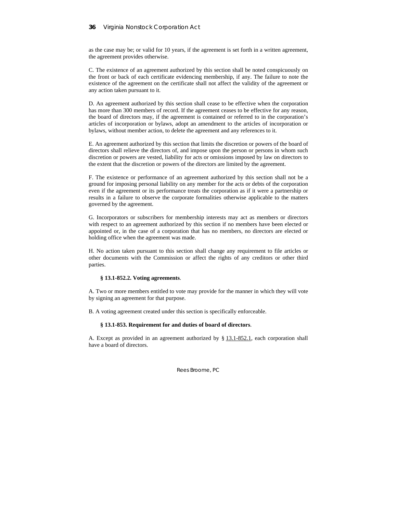as the case may be; or valid for 10 years, if the agreement is set forth in a written agreement, the agreement provides otherwise.

C. The existence of an agreement authorized by this section shall be noted conspicuously on the front or back of each certificate evidencing membership, if any. The failure to note the existence of the agreement on the certificate shall not affect the validity of the agreement or any action taken pursuant to it.

D. An agreement authorized by this section shall cease to be effective when the corporation has more than 300 members of record. If the agreement ceases to be effective for any reason, the board of directors may, if the agreement is contained or referred to in the corporation's articles of incorporation or bylaws, adopt an amendment to the articles of incorporation or bylaws, without member action, to delete the agreement and any references to it.

E. An agreement authorized by this section that limits the discretion or powers of the board of directors shall relieve the directors of, and impose upon the person or persons in whom such discretion or powers are vested, liability for acts or omissions imposed by law on directors to the extent that the discretion or powers of the directors are limited by the agreement.

F. The existence or performance of an agreement authorized by this section shall not be a ground for imposing personal liability on any member for the acts or debts of the corporation even if the agreement or its performance treats the corporation as if it were a partnership or results in a failure to observe the corporate formalities otherwise applicable to the matters governed by the agreement.

G. Incorporators or subscribers for membership interests may act as members or directors with respect to an agreement authorized by this section if no members have been elected or appointed or, in the case of a corporation that has no members, no directors are elected or holding office when the agreement was made.

H. No action taken pursuant to this section shall change any requirement to file articles or other documents with the Commission or affect the rights of any creditors or other third parties.

## **§ 13.1-852.2. Voting agreements**.

A. Two or more members entitled to vote may provide for the manner in which they will vote by signing an agreement for that purpose.

B. A voting agreement created under this section is specifically enforceable.

## **§ 13.1-853. Requirement for and duties of board of directors**.

A. Except as provided in an agreement authorized by  $\S$  13.1-852.1, each corporation shall have a board of directors.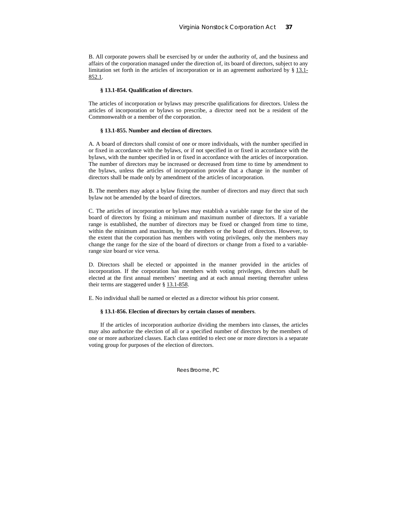B. All corporate powers shall be exercised by or under the authority of, and the business and affairs of the corporation managed under the direction of, its board of directors, subject to any limitation set forth in the articles of incorporation or in an agreement authorized by § 13.1- 852.1.

#### **§ 13.1-854. Qualification of directors**.

The articles of incorporation or bylaws may prescribe qualifications for directors. Unless the articles of incorporation or bylaws so prescribe, a director need not be a resident of the Commonwealth or a member of the corporation.

### **§ 13.1-855. Number and election of directors**.

A. A board of directors shall consist of one or more individuals, with the number specified in or fixed in accordance with the bylaws, or if not specified in or fixed in accordance with the bylaws, with the number specified in or fixed in accordance with the articles of incorporation. The number of directors may be increased or decreased from time to time by amendment to the bylaws, unless the articles of incorporation provide that a change in the number of directors shall be made only by amendment of the articles of incorporation.

B. The members may adopt a bylaw fixing the number of directors and may direct that such bylaw not be amended by the board of directors.

C. The articles of incorporation or bylaws may establish a variable range for the size of the board of directors by fixing a minimum and maximum number of directors. If a variable range is established, the number of directors may be fixed or changed from time to time, within the minimum and maximum, by the members or the board of directors. However, to the extent that the corporation has members with voting privileges, only the members may change the range for the size of the board of directors or change from a fixed to a variablerange size board or vice versa.

D. Directors shall be elected or appointed in the manner provided in the articles of incorporation. If the corporation has members with voting privileges, directors shall be elected at the first annual members' meeting and at each annual meeting thereafter unless their terms are staggered under § 13.1-858.

E. No individual shall be named or elected as a director without his prior consent.

#### **§ 13.1-856. Election of directors by certain classes of members**.

If the articles of incorporation authorize dividing the members into classes, the articles may also authorize the election of all or a specified number of directors by the members of one or more authorized classes. Each class entitled to elect one or more directors is a separate voting group for purposes of the election of directors.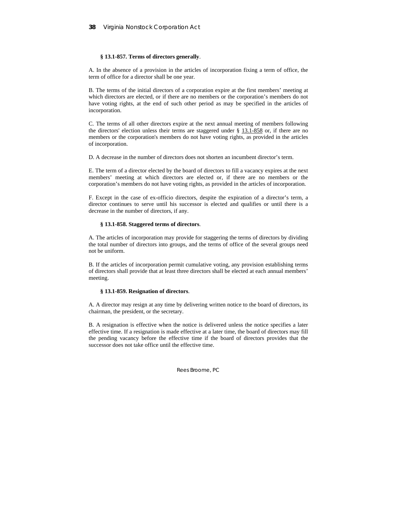## **§ 13.1-857. Terms of directors generally**.

A. In the absence of a provision in the articles of incorporation fixing a term of office, the term of office for a director shall be one year.

B. The terms of the initial directors of a corporation expire at the first members' meeting at which directors are elected, or if there are no members or the corporation's members do not have voting rights, at the end of such other period as may be specified in the articles of incorporation.

C. The terms of all other directors expire at the next annual meeting of members following the directors' election unless their terms are staggered under  $\S$  13.1-858 or, if there are no members or the corporation's members do not have voting rights, as provided in the articles of incorporation.

D. A decrease in the number of directors does not shorten an incumbent director's term.

E. The term of a director elected by the board of directors to fill a vacancy expires at the next members' meeting at which directors are elected or, if there are no members or the corporation's members do not have voting rights, as provided in the articles of incorporation.

F. Except in the case of ex-officio directors, despite the expiration of a director's term, a director continues to serve until his successor is elected and qualifies or until there is a decrease in the number of directors, if any.

## **§ 13.1-858. Staggered terms of directors**.

A. The articles of incorporation may provide for staggering the terms of directors by dividing the total number of directors into groups, and the terms of office of the several groups need not be uniform.

B. If the articles of incorporation permit cumulative voting, any provision establishing terms of directors shall provide that at least three directors shall be elected at each annual members' meeting.

### **§ 13.1-859. Resignation of directors**.

A. A director may resign at any time by delivering written notice to the board of directors, its chairman, the president, or the secretary.

B. A resignation is effective when the notice is delivered unless the notice specifies a later effective time. If a resignation is made effective at a later time, the board of directors may fill the pending vacancy before the effective time if the board of directors provides that the successor does not take office until the effective time.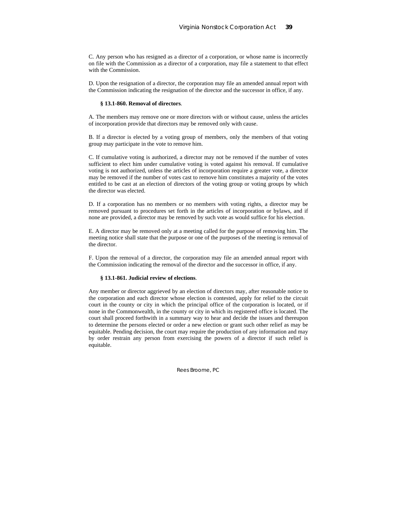C. Any person who has resigned as a director of a corporation, or whose name is incorrectly on file with the Commission as a director of a corporation, may file a statement to that effect with the Commission.

D. Upon the resignation of a director, the corporation may file an amended annual report with the Commission indicating the resignation of the director and the successor in office, if any.

#### **§ 13.1-860. Removal of directors**.

A. The members may remove one or more directors with or without cause, unless the articles of incorporation provide that directors may be removed only with cause.

B. If a director is elected by a voting group of members, only the members of that voting group may participate in the vote to remove him.

C. If cumulative voting is authorized, a director may not be removed if the number of votes sufficient to elect him under cumulative voting is voted against his removal. If cumulative voting is not authorized, unless the articles of incorporation require a greater vote, a director may be removed if the number of votes cast to remove him constitutes a majority of the votes entitled to be cast at an election of directors of the voting group or voting groups by which the director was elected.

D. If a corporation has no members or no members with voting rights, a director may be removed pursuant to procedures set forth in the articles of incorporation or bylaws, and if none are provided, a director may be removed by such vote as would suffice for his election.

E. A director may be removed only at a meeting called for the purpose of removing him. The meeting notice shall state that the purpose or one of the purposes of the meeting is removal of the director.

F. Upon the removal of a director, the corporation may file an amended annual report with the Commission indicating the removal of the director and the successor in office, if any.

## **§ 13.1-861. Judicial review of elections**.

Any member or director aggrieved by an election of directors may, after reasonable notice to the corporation and each director whose election is contested, apply for relief to the circuit court in the county or city in which the principal office of the corporation is located, or if none in the Commonwealth, in the county or city in which its registered office is located. The court shall proceed forthwith in a summary way to hear and decide the issues and thereupon to determine the persons elected or order a new election or grant such other relief as may be equitable. Pending decision, the court may require the production of any information and may by order restrain any person from exercising the powers of a director if such relief is equitable.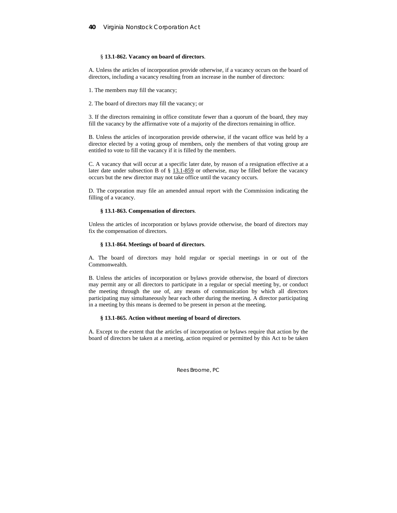### § **13.1-862. Vacancy on board of directors**.

A. Unless the articles of incorporation provide otherwise, if a vacancy occurs on the board of directors, including a vacancy resulting from an increase in the number of directors:

1. The members may fill the vacancy;

2. The board of directors may fill the vacancy; or

3. If the directors remaining in office constitute fewer than a quorum of the board, they may fill the vacancy by the affirmative vote of a majority of the directors remaining in office.

B. Unless the articles of incorporation provide otherwise, if the vacant office was held by a director elected by a voting group of members, only the members of that voting group are entitled to vote to fill the vacancy if it is filled by the members.

C. A vacancy that will occur at a specific later date, by reason of a resignation effective at a later date under subsection B of § 13.1-859 or otherwise, may be filled before the vacancy occurs but the new director may not take office until the vacancy occurs.

D. The corporation may file an amended annual report with the Commission indicating the filling of a vacancy.

## **§ 13.1-863. Compensation of directors**.

Unless the articles of incorporation or bylaws provide otherwise, the board of directors may fix the compensation of directors.

### **§ 13.1-864. Meetings of board of directors**.

A. The board of directors may hold regular or special meetings in or out of the Commonwealth.

B. Unless the articles of incorporation or bylaws provide otherwise, the board of directors may permit any or all directors to participate in a regular or special meeting by, or conduct the meeting through the use of, any means of communication by which all directors participating may simultaneously hear each other during the meeting. A director participating in a meeting by this means is deemed to be present in person at the meeting.

### **§ 13.1-865. Action without meeting of board of directors**.

A. Except to the extent that the articles of incorporation or bylaws require that action by the board of directors be taken at a meeting, action required or permitted by this Act to be taken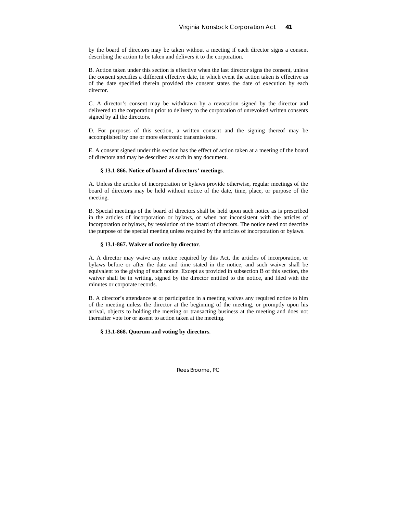by the board of directors may be taken without a meeting if each director signs a consent describing the action to be taken and delivers it to the corporation.

B. Action taken under this section is effective when the last director signs the consent, unless the consent specifies a different effective date, in which event the action taken is effective as of the date specified therein provided the consent states the date of execution by each director.

C. A director's consent may be withdrawn by a revocation signed by the director and delivered to the corporation prior to delivery to the corporation of unrevoked written consents signed by all the directors.

D. For purposes of this section, a written consent and the signing thereof may be accomplished by one or more electronic transmissions.

E. A consent signed under this section has the effect of action taken at a meeting of the board of directors and may be described as such in any document.

### **§ 13.1-866. Notice of board of directors' meetings**.

A. Unless the articles of incorporation or bylaws provide otherwise, regular meetings of the board of directors may be held without notice of the date, time, place, or purpose of the meeting.

B. Special meetings of the board of directors shall be held upon such notice as is prescribed in the articles of incorporation or bylaws, or when not inconsistent with the articles of incorporation or bylaws, by resolution of the board of directors. The notice need not describe the purpose of the special meeting unless required by the articles of incorporation or bylaws.

### **§ 13.1-867. Waiver of notice by director**.

A. A director may waive any notice required by this Act, the articles of incorporation, or bylaws before or after the date and time stated in the notice, and such waiver shall be equivalent to the giving of such notice. Except as provided in subsection B of this section, the waiver shall be in writing, signed by the director entitled to the notice, and filed with the minutes or corporate records.

B. A director's attendance at or participation in a meeting waives any required notice to him of the meeting unless the director at the beginning of the meeting, or promptly upon his arrival, objects to holding the meeting or transacting business at the meeting and does not thereafter vote for or assent to action taken at the meeting.

**§ 13.1-868. Quorum and voting by directors**.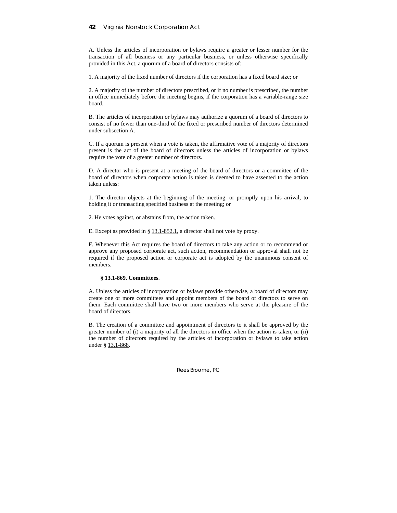## **42** Virginia Nonstock Corporation Act

A. Unless the articles of incorporation or bylaws require a greater or lesser number for the transaction of all business or any particular business, or unless otherwise specifically provided in this Act, a quorum of a board of directors consists of:

1. A majority of the fixed number of directors if the corporation has a fixed board size; or

2. A majority of the number of directors prescribed, or if no number is prescribed, the number in office immediately before the meeting begins, if the corporation has a variable-range size board.

B. The articles of incorporation or bylaws may authorize a quorum of a board of directors to consist of no fewer than one-third of the fixed or prescribed number of directors determined under subsection A.

C. If a quorum is present when a vote is taken, the affirmative vote of a majority of directors present is the act of the board of directors unless the articles of incorporation or bylaws require the vote of a greater number of directors.

D. A director who is present at a meeting of the board of directors or a committee of the board of directors when corporate action is taken is deemed to have assented to the action taken unless:

1. The director objects at the beginning of the meeting, or promptly upon his arrival, to holding it or transacting specified business at the meeting; or

2. He votes against, or abstains from, the action taken.

E. Except as provided in § 13.1-852.1, a director shall not vote by proxy.

F. Whenever this Act requires the board of directors to take any action or to recommend or approve any proposed corporate act, such action, recommendation or approval shall not be required if the proposed action or corporate act is adopted by the unanimous consent of members.

## **§ 13.1-869. Committees**.

A. Unless the articles of incorporation or bylaws provide otherwise, a board of directors may create one or more committees and appoint members of the board of directors to serve on them. Each committee shall have two or more members who serve at the pleasure of the board of directors.

B. The creation of a committee and appointment of directors to it shall be approved by the greater number of (i) a majority of all the directors in office when the action is taken, or (ii) the number of directors required by the articles of incorporation or bylaws to take action under § 13.1-868.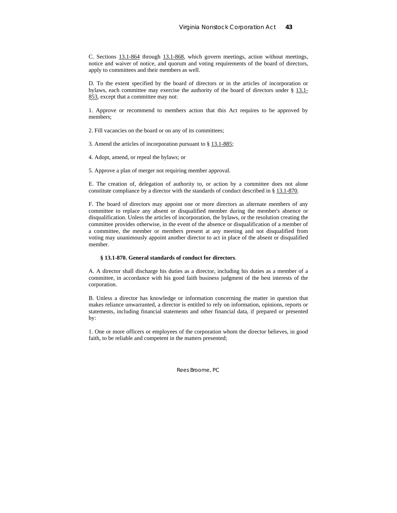C. Sections 13.1-864 through 13.1-868, which govern meetings, action without meetings, notice and waiver of notice, and quorum and voting requirements of the board of directors, apply to committees and their members as well.

D. To the extent specified by the board of directors or in the articles of incorporation or bylaws, each committee may exercise the authority of the board of directors under  $\S$  13.1-853, except that a committee may not:

1. Approve or recommend to members action that this Act requires to be approved by members;

2. Fill vacancies on the board or on any of its committees;

3. Amend the articles of incorporation pursuant to § 13.1-885;

4. Adopt, amend, or repeal the bylaws; or

5. Approve a plan of merger not requiring member approval.

E. The creation of, delegation of authority to, or action by a committee does not alone constitute compliance by a director with the standards of conduct described in § 13.1-870.

F. The board of directors may appoint one or more directors as alternate members of any committee to replace any absent or disqualified member during the member's absence or disqualification. Unless the articles of incorporation, the bylaws, or the resolution creating the committee provides otherwise, in the event of the absence or disqualification of a member of a committee, the member or members present at any meeting and not disqualified from voting may unanimously appoint another director to act in place of the absent or disqualified member.

#### **§ 13.1-870. General standards of conduct for directors**.

A. A director shall discharge his duties as a director, including his duties as a member of a committee, in accordance with his good faith business judgment of the best interests of the corporation.

B. Unless a director has knowledge or information concerning the matter in question that makes reliance unwarranted, a director is entitled to rely on information, opinions, reports or statements, including financial statements and other financial data, if prepared or presented by:

1. One or more officers or employees of the corporation whom the director believes, in good faith, to be reliable and competent in the matters presented;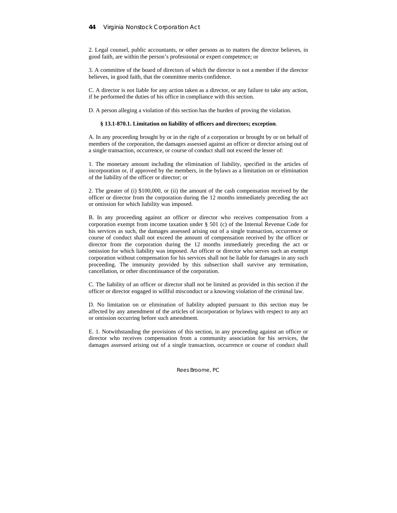2. Legal counsel, public accountants, or other persons as to matters the director believes, in good faith, are within the person's professional or expert competence; or

3. A committee of the board of directors of which the director is not a member if the director believes, in good faith, that the committee merits confidence.

C. A director is not liable for any action taken as a director, or any failure to take any action, if he performed the duties of his office in compliance with this section.

D. A person alleging a violation of this section has the burden of proving the violation.

### **§ 13.1-870.1. Limitation on liability of officers and directors; exception**.

A. In any proceeding brought by or in the right of a corporation or brought by or on behalf of members of the corporation, the damages assessed against an officer or director arising out of a single transaction, occurrence, or course of conduct shall not exceed the lesser of:

1. The monetary amount including the elimination of liability, specified in the articles of incorporation or, if approved by the members, in the bylaws as a limitation on or elimination of the liability of the officer or director; or

2. The greater of (i) \$100,000, or (ii) the amount of the cash compensation received by the officer or director from the corporation during the 12 months immediately preceding the act or omission for which liability was imposed.

B. In any proceeding against an officer or director who receives compensation from a corporation exempt from income taxation under § 501 (c) of the Internal Revenue Code for his services as such, the damages assessed arising out of a single transaction, occurrence or course of conduct shall not exceed the amount of compensation received by the officer or director from the corporation during the 12 months immediately preceding the act or omission for which liability was imposed. An officer or director who serves such an exempt corporation without compensation for his services shall not be liable for damages in any such proceeding. The immunity provided by this subsection shall survive any termination, cancellation, or other discontinuance of the corporation.

C. The liability of an officer or director shall not be limited as provided in this section if the officer or director engaged in willful misconduct or a knowing violation of the criminal law.

D. No limitation on or elimination of liability adopted pursuant to this section may be affected by any amendment of the articles of incorporation or bylaws with respect to any act or omission occurring before such amendment.

E. 1. Notwithstanding the provisions of this section, in any proceeding against an officer or director who receives compensation from a community association for his services, the damages assessed arising out of a single transaction, occurrence or course of conduct shall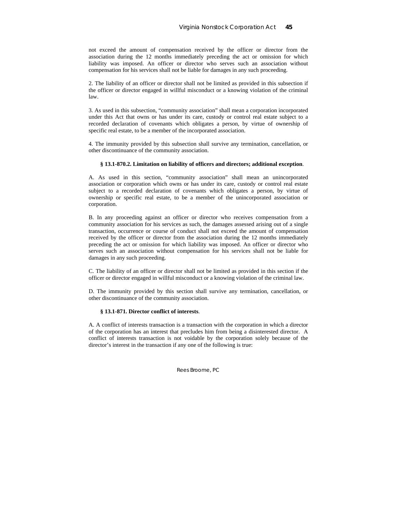not exceed the amount of compensation received by the officer or director from the association during the 12 months immediately preceding the act or omission for which liability was imposed. An officer or director who serves such an association without compensation for his services shall not be liable for damages in any such proceeding.

2. The liability of an officer or director shall not be limited as provided in this subsection if the officer or director engaged in willful misconduct or a knowing violation of the criminal law.

3. As used in this subsection, "community association" shall mean a corporation incorporated under this Act that owns or has under its care, custody or control real estate subject to a recorded declaration of covenants which obligates a person, by virtue of ownership of specific real estate, to be a member of the incorporated association.

4. The immunity provided by this subsection shall survive any termination, cancellation, or other discontinuance of the community association.

### **§ 13.1-870.2. Limitation on liability of officers and directors; additional exception**.

A. As used in this section, "community association" shall mean an unincorporated association or corporation which owns or has under its care, custody or control real estate subject to a recorded declaration of covenants which obligates a person, by virtue of ownership or specific real estate, to be a member of the unincorporated association or corporation.

B. In any proceeding against an officer or director who receives compensation from a community association for his services as such, the damages assessed arising out of a single transaction, occurrence or course of conduct shall not exceed the amount of compensation received by the officer or director from the association during the 12 months immediately preceding the act or omission for which liability was imposed. An officer or director who serves such an association without compensation for his services shall not be liable for damages in any such proceeding.

C. The liability of an officer or director shall not be limited as provided in this section if the officer or director engaged in willful misconduct or a knowing violation of the criminal law.

D. The immunity provided by this section shall survive any termination, cancellation, or other discontinuance of the community association.

## **§ 13.1-871. Director conflict of interests**.

A. A conflict of interests transaction is a transaction with the corporation in which a director of the corporation has an interest that precludes him from being a disinterested director. A conflict of interests transaction is not voidable by the corporation solely because of the director's interest in the transaction if any one of the following is true: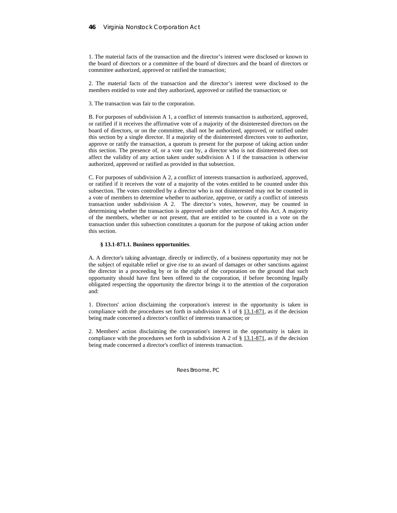## **46** Virginia Nonstock Corporation Act

1. The material facts of the transaction and the director's interest were disclosed or known to the board of directors or a committee of the board of directors and the board of directors or committee authorized, approved or ratified the transaction;

2. The material facts of the transaction and the director's interest were disclosed to the members entitled to vote and they authorized, approved or ratified the transaction; or

3. The transaction was fair to the corporation.

B. For purposes of subdivision A 1, a conflict of interests transaction is authorized, approved, or ratified if it receives the affirmative vote of a majority of the disinterested directors on the board of directors, or on the committee, shall not be authorized, approved, or ratified under this section by a single director. If a majority of the disinterested directors vote to authorize, approve or ratify the transaction, a quorum is present for the purpose of taking action under this section. The presence of, or a vote cast by, a director who is not disinterested does not affect the validity of any action taken under subdivision A 1 if the transaction is otherwise authorized, approved or ratified as provided in that subsection.

C. For purposes of subdivision A 2, a conflict of interests transaction is authorized, approved, or ratified if it receives the vote of a majority of the votes entitled to be counted under this subsection. The votes controlled by a director who is not disinterested may not be counted in a vote of members to determine whether to authorize, approve, or ratify a conflict of interests transaction under subdivision A 2. The director's votes, however, may be counted in determining whether the transaction is approved under other sections of this Act. A majority of the members, whether or not present, that are entitled to be counted in a vote on the transaction under this subsection constitutes a quorum for the purpose of taking action under this section.

### **§ 13.1-871.1. Business opportunities**.

A. A director's taking advantage, directly or indirectly, of a business opportunity may not be the subject of equitable relief or give rise to an award of damages or other sanctions against the director in a proceeding by or in the right of the corporation on the ground that such opportunity should have first been offered to the corporation, if before becoming legally obligated respecting the opportunity the director brings it to the attention of the corporation and:

1. Directors' action disclaiming the corporation's interest in the opportunity is taken in compliance with the procedures set forth in subdivision A 1 of  $\S$  13.1-871, as if the decision being made concerned a director's conflict of interests transaction; or

2. Members' action disclaiming the corporation's interest in the opportunity is taken in compliance with the procedures set forth in subdivision A 2 of  $\S$  13.1-871, as if the decision being made concerned a director's conflict of interests transaction.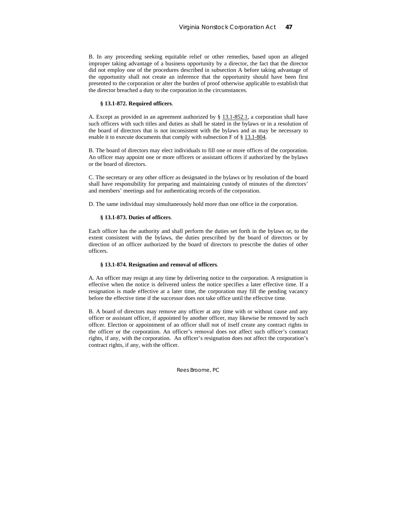B. In any proceeding seeking equitable relief or other remedies, based upon an alleged improper taking advantage of a business opportunity by a director, the fact that the director did not employ one of the procedures described in subsection A before taking advantage of the opportunity shall not create an inference that the opportunity should have been first presented to the corporation or alter the burden of proof otherwise applicable to establish that the director breached a duty to the corporation in the circumstances.

### **§ 13.1-872. Required officers**.

A. Except as provided in an agreement authorized by § 13.1-852.1, a corporation shall have such officers with such titles and duties as shall be stated in the bylaws or in a resolution of the board of directors that is not inconsistent with the bylaws and as may be necessary to enable it to execute documents that comply with subsection F of § 13.1-804.

B. The board of directors may elect individuals to fill one or more offices of the corporation. An officer may appoint one or more officers or assistant officers if authorized by the bylaws or the board of directors.

C. The secretary or any other officer as designated in the bylaws or by resolution of the board shall have responsibility for preparing and maintaining custody of minutes of the directors' and members' meetings and for authenticating records of the corporation.

D. The same individual may simultaneously hold more than one office in the corporation.

## **§ 13.1-873. Duties of officers**.

Each officer has the authority and shall perform the duties set forth in the bylaws or, to the extent consistent with the bylaws, the duties prescribed by the board of directors or by direction of an officer authorized by the board of directors to prescribe the duties of other officers.

### **§ 13.1-874. Resignation and removal of officers**.

A. An officer may resign at any time by delivering notice to the corporation. A resignation is effective when the notice is delivered unless the notice specifies a later effective time. If a resignation is made effective at a later time, the corporation may fill the pending vacancy before the effective time if the successor does not take office until the effective time.

B. A board of directors may remove any officer at any time with or without cause and any officer or assistant officer, if appointed by another officer, may likewise be removed by such officer. Election or appointment of an officer shall not of itself create any contract rights in the officer or the corporation. An officer's removal does not affect such officer's contract rights, if any, with the corporation. An officer's resignation does not affect the corporation's contract rights, if any, with the officer.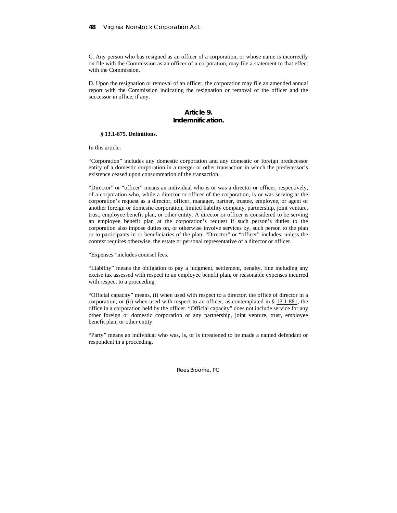C. Any person who has resigned as an officer of a corporation, or whose name is incorrectly on file with the Commission as an officer of a corporation, may file a statement to that effect with the Commission.

D. Upon the resignation or removal of an officer, the corporation may file an amended annual report with the Commission indicating the resignation or removal of the officer and the successor in office, if any.

## **Article 9. Indemnification.**

## **§ 13.1-875. Definitions**.

In this article:

"Corporation" includes any domestic corporation and any domestic or foreign predecessor entity of a domestic corporation in a merger or other transaction in which the predecessor's existence ceased upon consummation of the transaction.

"Director" or "officer" means an individual who is or was a director or officer, respectively, of a corporation who, while a director or officer of the corporation, is or was serving at the corporation's request as a director, officer, manager, partner, trustee, employee, or agent of another foreign or domestic corporation, limited liability company, partnership, joint venture, trust, employee benefit plan, or other entity. A director or officer is considered to be serving an employee benefit plan at the corporation's request if such person's duties to the corporation also impose duties on, or otherwise involve services by, such person to the plan or to participants in or beneficiaries of the plan. "Director" or "officer" includes, unless the context requires otherwise, the estate or personal representative of a director or officer.

"Expenses" includes counsel fees.

"Liability" means the obligation to pay a judgment, settlement, penalty, fine including any excise tax assessed with respect to an employee benefit plan, or reasonable expenses incurred with respect to a proceeding.

"Official capacity" means, (i) when used with respect to a director, the office of director in a corporation; or (ii) when used with respect to an officer, as contemplated in  $\S$  13.1-881, the office in a corporation held by the officer. "Official capacity" does not include service for any other foreign or domestic corporation or any partnership, joint venture, trust, employee benefit plan, or other entity.

"Party" means an individual who was, is, or is threatened to be made a named defendant or respondent in a proceeding.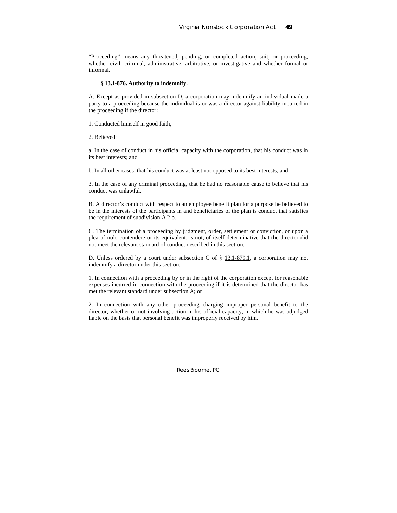"Proceeding" means any threatened, pending, or completed action, suit, or proceeding, whether civil, criminal, administrative, arbitrative, or investigative and whether formal or informal.

### **§ 13.1-876. Authority to indemnify**.

A. Except as provided in subsection D, a corporation may indemnify an individual made a party to a proceeding because the individual is or was a director against liability incurred in the proceeding if the director:

1. Conducted himself in good faith;

2. Believed:

a. In the case of conduct in his official capacity with the corporation, that his conduct was in its best interests; and

b. In all other cases, that his conduct was at least not opposed to its best interests; and

3. In the case of any criminal proceeding, that he had no reasonable cause to believe that his conduct was unlawful.

B. A director's conduct with respect to an employee benefit plan for a purpose he believed to be in the interests of the participants in and beneficiaries of the plan is conduct that satisfies the requirement of subdivision A 2 b.

C. The termination of a proceeding by judgment, order, settlement or conviction, or upon a plea of nolo contendere or its equivalent, is not, of itself determinative that the director did not meet the relevant standard of conduct described in this section.

D. Unless ordered by a court under subsection C of § 13.1-879.1, a corporation may not indemnify a director under this section:

1. In connection with a proceeding by or in the right of the corporation except for reasonable expenses incurred in connection with the proceeding if it is determined that the director has met the relevant standard under subsection A; or

2. In connection with any other proceeding charging improper personal benefit to the director, whether or not involving action in his official capacity, in which he was adjudged liable on the basis that personal benefit was improperly received by him.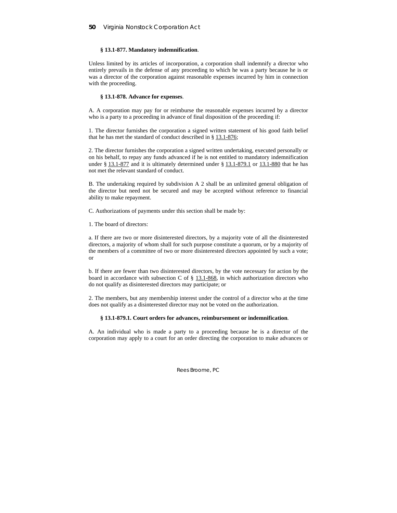## **§ 13.1-877. Mandatory indemnification**.

Unless limited by its articles of incorporation, a corporation shall indemnify a director who entirely prevails in the defense of any proceeding to which he was a party because he is or was a director of the corporation against reasonable expenses incurred by him in connection with the proceeding.

### **§ 13.1-878. Advance for expenses**.

A. A corporation may pay for or reimburse the reasonable expenses incurred by a director who is a party to a proceeding in advance of final disposition of the proceeding if:

1. The director furnishes the corporation a signed written statement of his good faith belief that he has met the standard of conduct described in § 13.1-876;

2. The director furnishes the corporation a signed written undertaking, executed personally or on his behalf, to repay any funds advanced if he is not entitled to mandatory indemnification under  $\S 13.1-877$  and it is ultimately determined under  $\S 13.1-879.1$  or  $13.1-880$  that he has not met the relevant standard of conduct.

B. The undertaking required by subdivision A 2 shall be an unlimited general obligation of the director but need not be secured and may be accepted without reference to financial ability to make repayment.

C. Authorizations of payments under this section shall be made by:

1. The board of directors:

a. If there are two or more disinterested directors, by a majority vote of all the disinterested directors, a majority of whom shall for such purpose constitute a quorum, or by a majority of the members of a committee of two or more disinterested directors appointed by such a vote; or

b. If there are fewer than two disinterested directors, by the vote necessary for action by the board in accordance with subsection C of  $\S$  13.1-868, in which authorization directors who do not qualify as disinterested directors may participate; or

2. The members, but any membership interest under the control of a director who at the time does not qualify as a disinterested director may not be voted on the authorization.

## **§ 13.1-879.1. Court orders for advances, reimbursement or indemnification**.

A. An individual who is made a party to a proceeding because he is a director of the corporation may apply to a court for an order directing the corporation to make advances or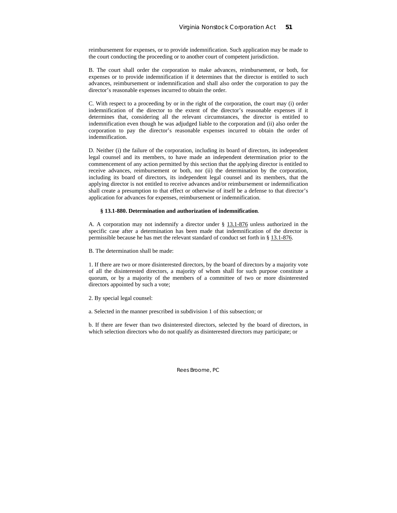reimbursement for expenses, or to provide indemnification. Such application may be made to the court conducting the proceeding or to another court of competent jurisdiction.

B. The court shall order the corporation to make advances, reimbursement, or both, for expenses or to provide indemnification if it determines that the director is entitled to such advances, reimbursement or indemnification and shall also order the corporation to pay the director's reasonable expenses incurred to obtain the order.

C. With respect to a proceeding by or in the right of the corporation, the court may (i) order indemnification of the director to the extent of the director's reasonable expenses if it determines that, considering all the relevant circumstances, the director is entitled to indemnification even though he was adjudged liable to the corporation and (ii) also order the corporation to pay the director's reasonable expenses incurred to obtain the order of indemnification.

D. Neither (i) the failure of the corporation, including its board of directors, its independent legal counsel and its members, to have made an independent determination prior to the commencement of any action permitted by this section that the applying director is entitled to receive advances, reimbursement or both, nor (ii) the determination by the corporation, including its board of directors, its independent legal counsel and its members, that the applying director is not entitled to receive advances and/or reimbursement or indemnification shall create a presumption to that effect or otherwise of itself be a defense to that director's application for advances for expenses, reimbursement or indemnification.

## **§ 13.1-880. Determination and authorization of indemnification**.

A. A corporation may not indemnify a director under § 13.1-876 unless authorized in the specific case after a determination has been made that indemnification of the director is permissible because he has met the relevant standard of conduct set forth in § 13.1-876.

B. The determination shall be made:

1. If there are two or more disinterested directors, by the board of directors by a majority vote of all the disinterested directors, a majority of whom shall for such purpose constitute a quorum, or by a majority of the members of a committee of two or more disinterested directors appointed by such a vote;

2. By special legal counsel:

a. Selected in the manner prescribed in subdivision 1 of this subsection; or

b. If there are fewer than two disinterested directors, selected by the board of directors, in which selection directors who do not qualify as disinterested directors may participate; or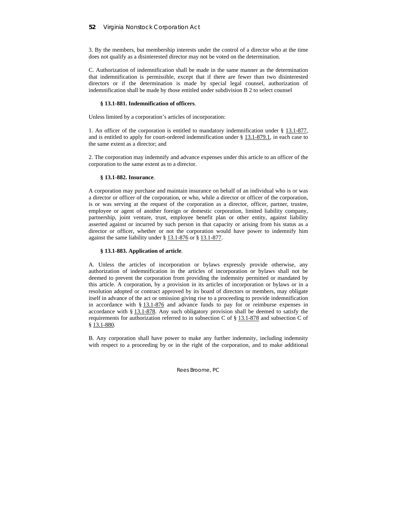3. By the members, but membership interests under the control of a director who at the time does not qualify as a disinterested director may not be voted on the determination.

C. Authorization of indemnification shall be made in the same manner as the determination that indemnification is permissible, except that if there are fewer than two disinterested directors or if the determination is made by special legal counsel, authorization of indemnification shall be made by those entitled under subdivision B 2 to select counsel

## **§ 13.1-881. Indemnification of officers**.

Unless limited by a corporation's articles of incorporation:

1. An officer of the corporation is entitled to mandatory indemnification under § 13.1-877, and is entitled to apply for court-ordered indemnification under § 13.1-879.1, in each case to the same extent as a director; and

2. The corporation may indemnify and advance expenses under this article to an officer of the corporation to the same extent as to a director.

### **§ 13.1-882. Insurance**.

A corporation may purchase and maintain insurance on behalf of an individual who is or was a director or officer of the corporation, or who, while a director or officer of the corporation, is or was serving at the request of the corporation as a director, officer, partner, trustee, employee or agent of another foreign or domestic corporation, limited liability company, partnership, joint venture, trust, employee benefit plan or other entity, against liability asserted against or incurred by such person in that capacity or arising from his status as a director or officer, whether or not the corporation would have power to indemnify him against the same liability under § 13.1-876 or § 13.1-877.

### **§ 13.1-883. Application of article**.

A. Unless the articles of incorporation or bylaws expressly provide otherwise, any authorization of indemnification in the articles of incorporation or bylaws shall not be deemed to prevent the corporation from providing the indemnity permitted or mandated by this article. A corporation, by a provision in its articles of incorporation or bylaws or in a resolution adopted or contract approved by its board of directors or members, may obligate itself in advance of the act or omission giving rise to a proceeding to provide indemnification in accordance with  $\S$  13.1-876 and advance funds to pay for or reimburse expenses in accordance with § 13.1-878. Any such obligatory provision shall be deemed to satisfy the requirements for authorization referred to in subsection C of § 13.1-878 and subsection C of § 13.1-880.

B. Any corporation shall have power to make any further indemnity, including indemnity with respect to a proceeding by or in the right of the corporation, and to make additional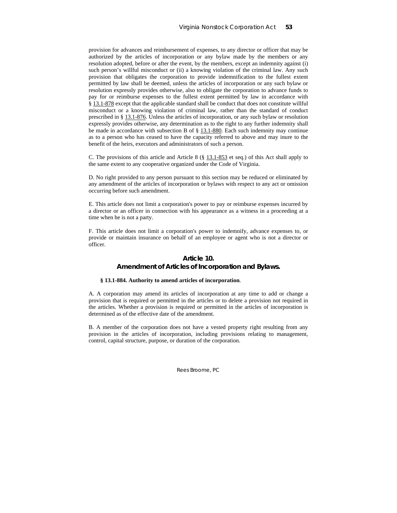provision for advances and reimbursement of expenses, to any director or officer that may be authorized by the articles of incorporation or any bylaw made by the members or any resolution adopted, before or after the event, by the members, except an indemnity against (i) such person's willful misconduct or (ii) a knowing violation of the criminal law. Any such provision that obligates the corporation to provide indemnification to the fullest extent permitted by law shall be deemed, unless the articles of incorporation or any such bylaw or resolution expressly provides otherwise, also to obligate the corporation to advance funds to pay for or reimburse expenses to the fullest extent permitted by law in accordance with § 13.1-878 except that the applicable standard shall be conduct that does not constitute willful misconduct or a knowing violation of criminal law, rather than the standard of conduct prescribed in § 13.1-876. Unless the articles of incorporation, or any such bylaw or resolution expressly provides otherwise, any determination as to the right to any further indemnity shall be made in accordance with subsection B of § 13.1-880. Each such indemnity may continue as to a person who has ceased to have the capacity referred to above and may inure to the benefit of the heirs, executors and administrators of such a person.

C. The provisions of this article and Article 8 (§ 13.1-853 et seq.) of this Act shall apply to the same extent to any cooperative organized under the Code of Virginia.

D. No right provided to any person pursuant to this section may be reduced or eliminated by any amendment of the articles of incorporation or bylaws with respect to any act or omission occurring before such amendment.

E. This article does not limit a corporation's power to pay or reimburse expenses incurred by a director or an officer in connection with his appearance as a witness in a proceeding at a time when he is not a party.

F. This article does not limit a corporation's power to indemnify, advance expenses to, or provide or maintain insurance on behalf of an employee or agent who is not a director or officer.

## **Article 10. Amendment of Articles of Incorporation and Bylaws.**

#### **§ 13.1-884. Authority to amend articles of incorporation**.

A. A corporation may amend its articles of incorporation at any time to add or change a provision that is required or permitted in the articles or to delete a provision not required in the articles. Whether a provision is required or permitted in the articles of incorporation is determined as of the effective date of the amendment.

B. A member of the corporation does not have a vested property right resulting from any provision in the articles of incorporation, including provisions relating to management, control, capital structure, purpose, or duration of the corporation.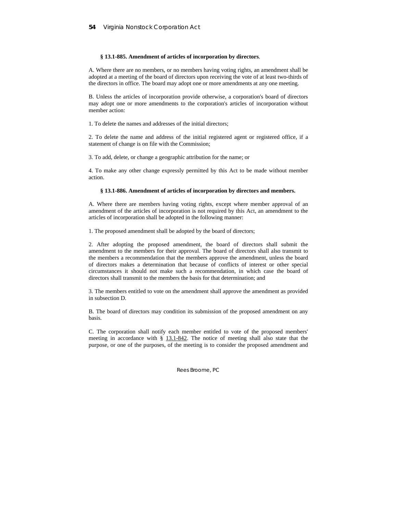## **§ 13.1-885. Amendment of articles of incorporation by directors**.

A. Where there are no members, or no members having voting rights, an amendment shall be adopted at a meeting of the board of directors upon receiving the vote of at least two-thirds of the directors in office. The board may adopt one or more amendments at any one meeting.

B. Unless the articles of incorporation provide otherwise, a corporation's board of directors may adopt one or more amendments to the corporation's articles of incorporation without member action:

1. To delete the names and addresses of the initial directors;

2. To delete the name and address of the initial registered agent or registered office, if a statement of change is on file with the Commission;

3. To add, delete, or change a geographic attribution for the name; or

4. To make any other change expressly permitted by this Act to be made without member action.

### **§ 13.1-886. Amendment of articles of incorporation by directors and members.**

A. Where there are members having voting rights, except where member approval of an amendment of the articles of incorporation is not required by this Act, an amendment to the articles of incorporation shall be adopted in the following manner:

1. The proposed amendment shall be adopted by the board of directors;

2. After adopting the proposed amendment, the board of directors shall submit the amendment to the members for their approval. The board of directors shall also transmit to the members a recommendation that the members approve the amendment, unless the board of directors makes a determination that because of conflicts of interest or other special circumstances it should not make such a recommendation, in which case the board of directors shall transmit to the members the basis for that determination; and

3. The members entitled to vote on the amendment shall approve the amendment as provided in subsection D.

B. The board of directors may condition its submission of the proposed amendment on any basis.

C. The corporation shall notify each member entitled to vote of the proposed members' meeting in accordance with § 13.1-842. The notice of meeting shall also state that the purpose, or one of the purposes, of the meeting is to consider the proposed amendment and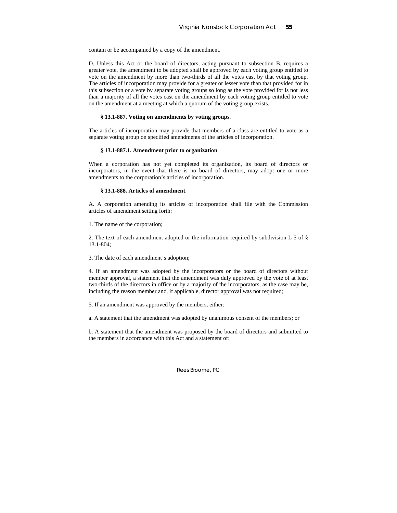contain or be accompanied by a copy of the amendment.

D. Unless this Act or the board of directors, acting pursuant to subsection B, requires a greater vote, the amendment to be adopted shall be approved by each voting group entitled to vote on the amendment by more than two-thirds of all the votes cast by that voting group. The articles of incorporation may provide for a greater or lesser vote than that provided for in this subsection or a vote by separate voting groups so long as the vote provided for is not less than a majority of all the votes cast on the amendment by each voting group entitled to vote on the amendment at a meeting at which a quorum of the voting group exists.

### **§ 13.1-887. Voting on amendments by voting groups**.

The articles of incorporation may provide that members of a class are entitled to vote as a separate voting group on specified amendments of the articles of incorporation.

## **§ 13.1-887.1. Amendment prior to organization**.

When a corporation has not yet completed its organization, its board of directors or incorporators, in the event that there is no board of directors, may adopt one or more amendments to the corporation's articles of incorporation.

### **§ 13.1-888. Articles of amendment**.

A. A corporation amending its articles of incorporation shall file with the Commission articles of amendment setting forth:

1. The name of the corporation;

2. The text of each amendment adopted or the information required by subdivision L 5 of § 13.1-804;

3. The date of each amendment's adoption;

4. If an amendment was adopted by the incorporators or the board of directors without member approval, a statement that the amendment was duly approved by the vote of at least two-thirds of the directors in office or by a majority of the incorporators, as the case may be, including the reason member and, if applicable, director approval was not required;

5. If an amendment was approved by the members, either:

a. A statement that the amendment was adopted by unanimous consent of the members; or

b. A statement that the amendment was proposed by the board of directors and submitted to the members in accordance with this Act and a statement of: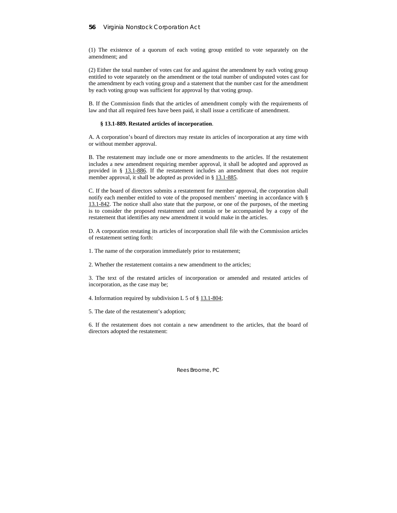(1) The existence of a quorum of each voting group entitled to vote separately on the amendment; and

(2) Either the total number of votes cast for and against the amendment by each voting group entitled to vote separately on the amendment or the total number of undisputed votes cast for the amendment by each voting group and a statement that the number cast for the amendment by each voting group was sufficient for approval by that voting group.

B. If the Commission finds that the articles of amendment comply with the requirements of law and that all required fees have been paid, it shall issue a certificate of amendment.

### **§ 13.1-889. Restated articles of incorporation**.

A. A corporation's board of directors may restate its articles of incorporation at any time with or without member approval.

B. The restatement may include one or more amendments to the articles. If the restatement includes a new amendment requiring member approval, it shall be adopted and approved as provided in § 13.1-886. If the restatement includes an amendment that does not require member approval, it shall be adopted as provided in § 13.1-885.

C. If the board of directors submits a restatement for member approval, the corporation shall notify each member entitled to vote of the proposed members' meeting in accordance with § 13.1-842. The notice shall also state that the purpose, or one of the purposes, of the meeting is to consider the proposed restatement and contain or be accompanied by a copy of the restatement that identifies any new amendment it would make in the articles.

D. A corporation restating its articles of incorporation shall file with the Commission articles of restatement setting forth:

1. The name of the corporation immediately prior to restatement;

2. Whether the restatement contains a new amendment to the articles;

3. The text of the restated articles of incorporation or amended and restated articles of incorporation, as the case may be;

4. Information required by subdivision L 5 of § 13.1-804;

5. The date of the restatement's adoption;

6. If the restatement does not contain a new amendment to the articles, that the board of directors adopted the restatement: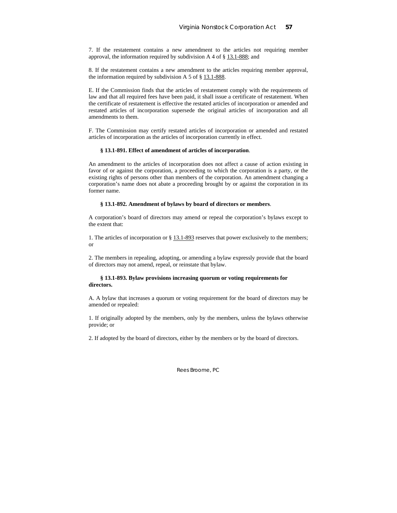7. If the restatement contains a new amendment to the articles not requiring member approval, the information required by subdivision A 4 of  $\S$  13.1-888; and

8. If the restatement contains a new amendment to the articles requiring member approval, the information required by subdivision A 5 of § 13.1-888.

E. If the Commission finds that the articles of restatement comply with the requirements of law and that all required fees have been paid, it shall issue a certificate of restatement. When the certificate of restatement is effective the restated articles of incorporation or amended and restated articles of incorporation supersede the original articles of incorporation and all amendments to them.

F. The Commission may certify restated articles of incorporation or amended and restated articles of incorporation as the articles of incorporation currently in effect.

### **§ 13.1-891. Effect of amendment of articles of incorporation**.

An amendment to the articles of incorporation does not affect a cause of action existing in favor of or against the corporation, a proceeding to which the corporation is a party, or the existing rights of persons other than members of the corporation. An amendment changing a corporation's name does not abate a proceeding brought by or against the corporation in its former name.

## **§ 13.1-892. Amendment of bylaws by board of directors or members**.

A corporation's board of directors may amend or repeal the corporation's bylaws except to the extent that:

1. The articles of incorporation or § 13.1-893 reserves that power exclusively to the members; or

2. The members in repealing, adopting, or amending a bylaw expressly provide that the board of directors may not amend, repeal, or reinstate that bylaw.

## **§ 13.1-893. Bylaw provisions increasing quorum or voting requirements for directors.**

A. A bylaw that increases a quorum or voting requirement for the board of directors may be amended or repealed:

1. If originally adopted by the members, only by the members, unless the bylaws otherwise provide; or

2. If adopted by the board of directors, either by the members or by the board of directors.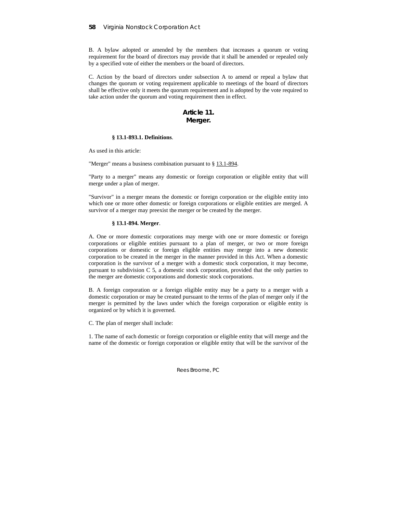B. A bylaw adopted or amended by the members that increases a quorum or voting requirement for the board of directors may provide that it shall be amended or repealed only by a specified vote of either the members or the board of directors.

C. Action by the board of directors under subsection A to amend or repeal a bylaw that changes the quorum or voting requirement applicable to meetings of the board of directors shall be effective only it meets the quorum requirement and is adopted by the vote required to take action under the quorum and voting requirement then in effect.

## **Article 11. Merger.**

### **§ 13.1-893.1. Definitions**.

As used in this article:

"Merger" means a business combination pursuant to § 13.1-894.

"Party to a merger" means any domestic or foreign corporation or eligible entity that will merge under a plan of merger.

"Survivor" in a merger means the domestic or foreign corporation or the eligible entity into which one or more other domestic or foreign corporations or eligible entities are merged. A survivor of a merger may preexist the merger or be created by the merger.

## **§ 13.1-894. Merger**.

A. One or more domestic corporations may merge with one or more domestic or foreign corporations or eligible entities pursuant to a plan of merger, or two or more foreign corporations or domestic or foreign eligible entities may merge into a new domestic corporation to be created in the merger in the manner provided in this Act. When a domestic corporation is the survivor of a merger with a domestic stock corporation, it may become, pursuant to subdivision C 5, a domestic stock corporation, provided that the only parties to the merger are domestic corporations and domestic stock corporations.

B. A foreign corporation or a foreign eligible entity may be a party to a merger with a domestic corporation or may be created pursuant to the terms of the plan of merger only if the merger is permitted by the laws under which the foreign corporation or eligible entity is organized or by which it is governed.

C. The plan of merger shall include:

1. The name of each domestic or foreign corporation or eligible entity that will merge and the name of the domestic or foreign corporation or eligible entity that will be the survivor of the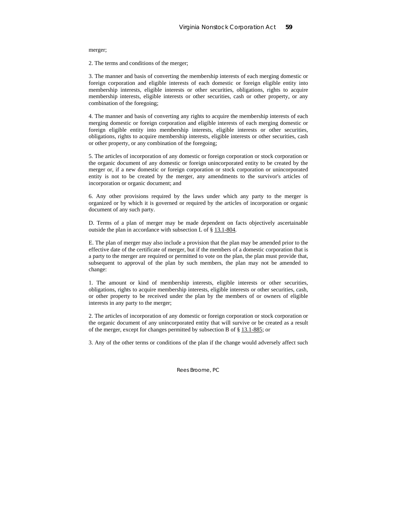#### merger;

2. The terms and conditions of the merger;

3. The manner and basis of converting the membership interests of each merging domestic or foreign corporation and eligible interests of each domestic or foreign eligible entity into membership interests, eligible interests or other securities, obligations, rights to acquire membership interests, eligible interests or other securities, cash or other property, or any combination of the foregoing;

4. The manner and basis of converting any rights to acquire the membership interests of each merging domestic or foreign corporation and eligible interests of each merging domestic or foreign eligible entity into membership interests, eligible interests or other securities, obligations, rights to acquire membership interests, eligible interests or other securities, cash or other property, or any combination of the foregoing;

5. The articles of incorporation of any domestic or foreign corporation or stock corporation or the organic document of any domestic or foreign unincorporated entity to be created by the merger or, if a new domestic or foreign corporation or stock corporation or unincorporated entity is not to be created by the merger, any amendments to the survivor's articles of incorporation or organic document; and

6. Any other provisions required by the laws under which any party to the merger is organized or by which it is governed or required by the articles of incorporation or organic document of any such party.

D. Terms of a plan of merger may be made dependent on facts objectively ascertainable outside the plan in accordance with subsection L of § 13.1-804.

E. The plan of merger may also include a provision that the plan may be amended prior to the effective date of the certificate of merger, but if the members of a domestic corporation that is a party to the merger are required or permitted to vote on the plan, the plan must provide that, subsequent to approval of the plan by such members, the plan may not be amended to change:

1. The amount or kind of membership interests, eligible interests or other securities, obligations, rights to acquire membership interests, eligible interests or other securities, cash, or other property to be received under the plan by the members of or owners of eligible interests in any party to the merger;

2. The articles of incorporation of any domestic or foreign corporation or stock corporation or the organic document of any unincorporated entity that will survive or be created as a result of the merger, except for changes permitted by subsection B of § 13.1-885; or

3. Any of the other terms or conditions of the plan if the change would adversely affect such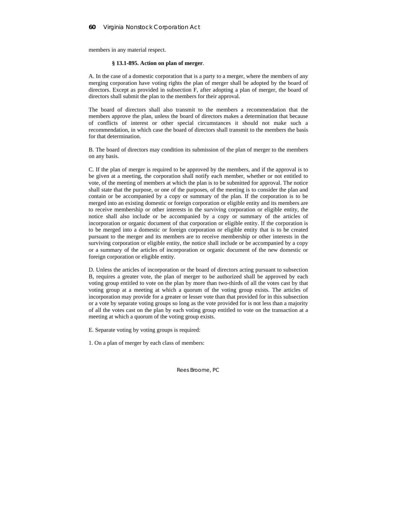members in any material respect.

## **§ 13.1-895. Action on plan of merger**.

A. In the case of a domestic corporation that is a party to a merger, where the members of any merging corporation have voting rights the plan of merger shall be adopted by the board of directors. Except as provided in subsection F, after adopting a plan of merger, the board of directors shall submit the plan to the members for their approval.

The board of directors shall also transmit to the members a recommendation that the members approve the plan, unless the board of directors makes a determination that because of conflicts of interest or other special circumstances it should not make such a recommendation, in which case the board of directors shall transmit to the members the basis for that determination.

B. The board of directors may condition its submission of the plan of merger to the members on any basis.

C. If the plan of merger is required to be approved by the members, and if the approval is to be given at a meeting, the corporation shall notify each member, whether or not entitled to vote, of the meeting of members at which the plan is to be submitted for approval. The notice shall state that the purpose, or one of the purposes, of the meeting is to consider the plan and contain or be accompanied by a copy or summary of the plan. If the corporation is to be merged into an existing domestic or foreign corporation or eligible entity and its members are to receive membership or other interests in the surviving corporation or eligible entity, the notice shall also include or be accompanied by a copy or summary of the articles of incorporation or organic document of that corporation or eligible entity. If the corporation is to be merged into a domestic or foreign corporation or eligible entity that is to be created pursuant to the merger and its members are to receive membership or other interests in the surviving corporation or eligible entity, the notice shall include or be accompanied by a copy or a summary of the articles of incorporation or organic document of the new domestic or foreign corporation or eligible entity.

D. Unless the articles of incorporation or the board of directors acting pursuant to subsection B, requires a greater vote, the plan of merger to be authorized shall be approved by each voting group entitled to vote on the plan by more than two-thirds of all the votes cast by that voting group at a meeting at which a quorum of the voting group exists. The articles of incorporation may provide for a greater or lesser vote than that provided for in this subsection or a vote by separate voting groups so long as the vote provided for is not less than a majority of all the votes cast on the plan by each voting group entitled to vote on the transaction at a meeting at which a quorum of the voting group exists.

E. Separate voting by voting groups is required:

1. On a plan of merger by each class of members: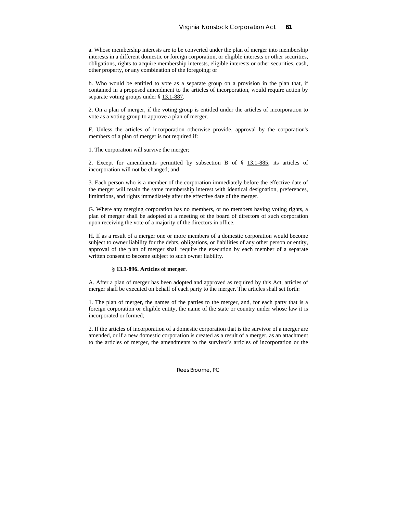a. Whose membership interests are to be converted under the plan of merger into membership interests in a different domestic or foreign corporation, or eligible interests or other securities, obligations, rights to acquire membership interests, eligible interests or other securities, cash, other property, or any combination of the foregoing; or

b. Who would be entitled to vote as a separate group on a provision in the plan that, if contained in a proposed amendment to the articles of incorporation, would require action by separate voting groups under § 13.1-887.

2. On a plan of merger, if the voting group is entitled under the articles of incorporation to vote as a voting group to approve a plan of merger.

F. Unless the articles of incorporation otherwise provide, approval by the corporation's members of a plan of merger is not required if:

1. The corporation will survive the merger;

2. Except for amendments permitted by subsection B of § 13.1-885, its articles of incorporation will not be changed; and

3. Each person who is a member of the corporation immediately before the effective date of the merger will retain the same membership interest with identical designation, preferences, limitations, and rights immediately after the effective date of the merger.

G. Where any merging corporation has no members, or no members having voting rights, a plan of merger shall be adopted at a meeting of the board of directors of such corporation upon receiving the vote of a majority of the directors in office.

H. If as a result of a merger one or more members of a domestic corporation would become subject to owner liability for the debts, obligations, or liabilities of any other person or entity, approval of the plan of merger shall require the execution by each member of a separate written consent to become subject to such owner liability.

### **§ 13.1-896. Articles of merger**.

A. After a plan of merger has been adopted and approved as required by this Act, articles of merger shall be executed on behalf of each party to the merger. The articles shall set forth:

1. The plan of merger, the names of the parties to the merger, and, for each party that is a foreign corporation or eligible entity, the name of the state or country under whose law it is incorporated or formed;

2. If the articles of incorporation of a domestic corporation that is the survivor of a merger are amended, or if a new domestic corporation is created as a result of a merger, as an attachment to the articles of merger, the amendments to the survivor's articles of incorporation or the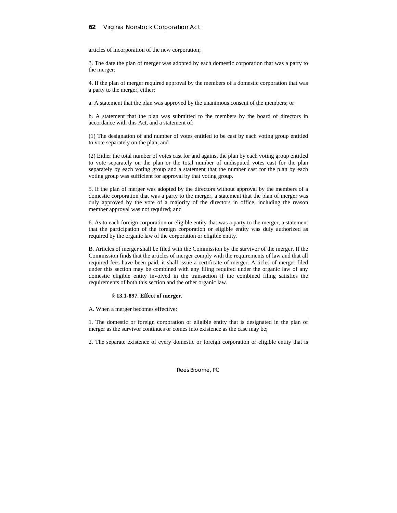## **62** Virginia Nonstock Corporation Act

articles of incorporation of the new corporation;

3. The date the plan of merger was adopted by each domestic corporation that was a party to the merger;

4. If the plan of merger required approval by the members of a domestic corporation that was a party to the merger, either:

a. A statement that the plan was approved by the unanimous consent of the members; or

b. A statement that the plan was submitted to the members by the board of directors in accordance with this Act, and a statement of:

(1) The designation of and number of votes entitled to be cast by each voting group entitled to vote separately on the plan; and

(2) Either the total number of votes cast for and against the plan by each voting group entitled to vote separately on the plan or the total number of undisputed votes cast for the plan separately by each voting group and a statement that the number cast for the plan by each voting group was sufficient for approval by that voting group.

5. If the plan of merger was adopted by the directors without approval by the members of a domestic corporation that was a party to the merger, a statement that the plan of merger was duly approved by the vote of a majority of the directors in office, including the reason member approval was not required; and

6. As to each foreign corporation or eligible entity that was a party to the merger, a statement that the participation of the foreign corporation or eligible entity was duly authorized as required by the organic law of the corporation or eligible entity.

B. Articles of merger shall be filed with the Commission by the survivor of the merger. If the Commission finds that the articles of merger comply with the requirements of law and that all required fees have been paid, it shall issue a certificate of merger. Articles of merger filed under this section may be combined with any filing required under the organic law of any domestic eligible entity involved in the transaction if the combined filing satisfies the requirements of both this section and the other organic law.

## **§ 13.1-897. Effect of merger**.

A. When a merger becomes effective:

1. The domestic or foreign corporation or eligible entity that is designated in the plan of merger as the survivor continues or comes into existence as the case may be;

2. The separate existence of every domestic or foreign corporation or eligible entity that is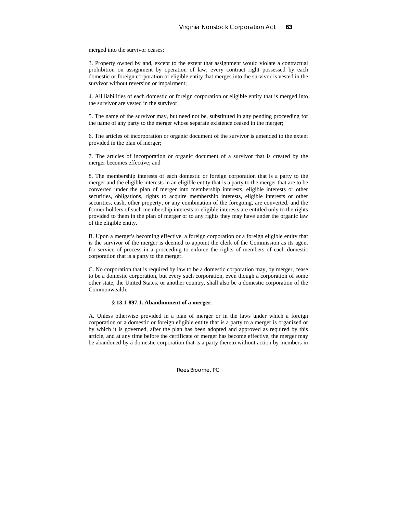merged into the survivor ceases;

3. Property owned by and, except to the extent that assignment would violate a contractual prohibition on assignment by operation of law, every contract right possessed by each domestic or foreign corporation or eligible entity that merges into the survivor is vested in the survivor without reversion or impairment;

4. All liabilities of each domestic or foreign corporation or eligible entity that is merged into the survivor are vested in the survivor;

5. The name of the survivor may, but need not be, substituted in any pending proceeding for the name of any party to the merger whose separate existence ceased in the merger;

6. The articles of incorporation or organic document of the survivor is amended to the extent provided in the plan of merger;

7. The articles of incorporation or organic document of a survivor that is created by the merger becomes effective; and

8. The membership interests of each domestic or foreign corporation that is a party to the merger and the eligible interests in an eligible entity that is a party to the merger that are to be converted under the plan of merger into membership interests, eligible interests or other securities, obligations, rights to acquire membership interests, eligible interests or other securities, cash, other property, or any combination of the foregoing, are converted, and the former holders of such membership interests or eligible interests are entitled only to the rights provided to them in the plan of merger or to any rights they may have under the organic law of the eligible entity.

B. Upon a merger's becoming effective, a foreign corporation or a foreign eligible entity that is the survivor of the merger is deemed to appoint the clerk of the Commission as its agent for service of process in a proceeding to enforce the rights of members of each domestic corporation that is a party to the merger.

C. No corporation that is required by law to be a domestic corporation may, by merger, cease to be a domestic corporation, but every such corporation, even though a corporation of some other state, the United States, or another country, shall also be a domestic corporation of the Commonwealth.

## **§ 13.1-897.1. Abandonment of a merger**.

A. Unless otherwise provided in a plan of merger or in the laws under which a foreign corporation or a domestic or foreign eligible entity that is a party to a merger is organized or by which it is governed, after the plan has been adopted and approved as required by this article, and at any time before the certificate of merger has become effective, the merger may be abandoned by a domestic corporation that is a party thereto without action by members in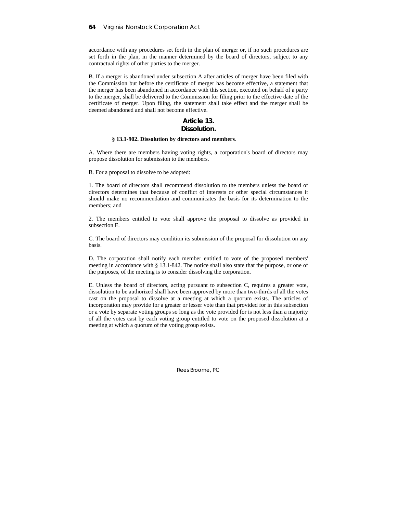accordance with any procedures set forth in the plan of merger or, if no such procedures are set forth in the plan, in the manner determined by the board of directors, subject to any contractual rights of other parties to the merger.

B. If a merger is abandoned under subsection A after articles of merger have been filed with the Commission but before the certificate of merger has become effective, a statement that the merger has been abandoned in accordance with this section, executed on behalf of a party to the merger, shall be delivered to the Commission for filing prior to the effective date of the certificate of merger. Upon filing, the statement shall take effect and the merger shall be deemed abandoned and shall not become effective.

# **Article 13.**

## **Dissolution.**

## **§ 13.1-902. Dissolution by directors and members**.

A. Where there are members having voting rights, a corporation's board of directors may propose dissolution for submission to the members.

B. For a proposal to dissolve to be adopted:

1. The board of directors shall recommend dissolution to the members unless the board of directors determines that because of conflict of interests or other special circumstances it should make no recommendation and communicates the basis for its determination to the members; and

2. The members entitled to vote shall approve the proposal to dissolve as provided in subsection E.

C. The board of directors may condition its submission of the proposal for dissolution on any basis.

D. The corporation shall notify each member entitled to vote of the proposed members' meeting in accordance with § 13.1-842. The notice shall also state that the purpose, or one of the purposes, of the meeting is to consider dissolving the corporation.

E. Unless the board of directors, acting pursuant to subsection C, requires a greater vote, dissolution to be authorized shall have been approved by more than two-thirds of all the votes cast on the proposal to dissolve at a meeting at which a quorum exists. The articles of incorporation may provide for a greater or lesser vote than that provided for in this subsection or a vote by separate voting groups so long as the vote provided for is not less than a majority of all the votes cast by each voting group entitled to vote on the proposed dissolution at a meeting at which a quorum of the voting group exists.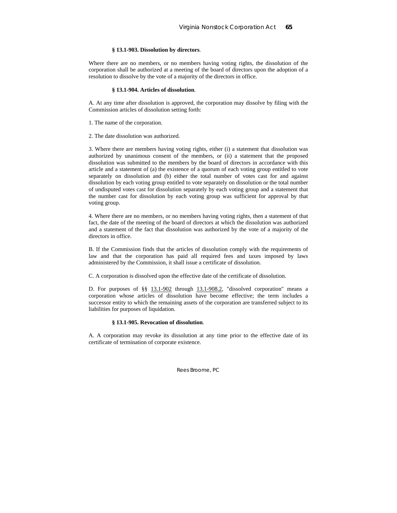# **§ 13.1-903. Dissolution by directors**.

Where there are no members, or no members having voting rights, the dissolution of the corporation shall be authorized at a meeting of the board of directors upon the adoption of a resolution to dissolve by the vote of a majority of the directors in office.

#### **§ 13.1-904. Articles of dissolution**.

A. At any time after dissolution is approved, the corporation may dissolve by filing with the Commission articles of dissolution setting forth:

1. The name of the corporation.

2. The date dissolution was authorized.

3. Where there are members having voting rights, either (i) a statement that dissolution was authorized by unanimous consent of the members, or (ii) a statement that the proposed dissolution was submitted to the members by the board of directors in accordance with this article and a statement of (a) the existence of a quorum of each voting group entitled to vote separately on dissolution and (b) either the total number of votes cast for and against dissolution by each voting group entitled to vote separately on dissolution or the total number of undisputed votes cast for dissolution separately by each voting group and a statement that the number cast for dissolution by each voting group was sufficient for approval by that voting group.

4. Where there are no members, or no members having voting rights, then a statement of that fact, the date of the meeting of the board of directors at which the dissolution was authorized and a statement of the fact that dissolution was authorized by the vote of a majority of the directors in office.

B. If the Commission finds that the articles of dissolution comply with the requirements of law and that the corporation has paid all required fees and taxes imposed by laws administered by the Commission, it shall issue a certificate of dissolution.

C. A corporation is dissolved upon the effective date of the certificate of dissolution.

D. For purposes of §§ 13.1-902 through 13.1-908.2, "dissolved corporation" means a corporation whose articles of dissolution have become effective; the term includes a successor entity to which the remaining assets of the corporation are transferred subject to its liabilities for purposes of liquidation.

#### **§ 13.1-905. Revocation of dissolution**.

A. A corporation may revoke its dissolution at any time prior to the effective date of its certificate of termination of corporate existence.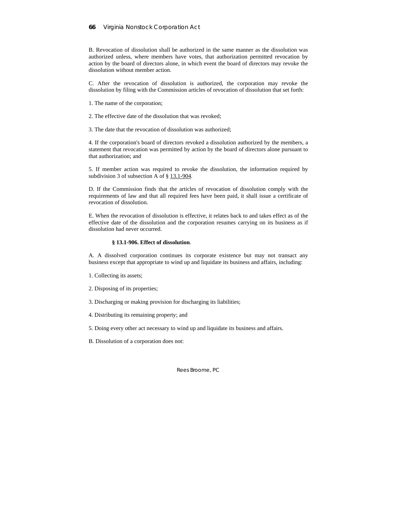B. Revocation of dissolution shall be authorized in the same manner as the dissolution was authorized unless, where members have votes, that authorization permitted revocation by action by the board of directors alone, in which event the board of directors may revoke the dissolution without member action.

C. After the revocation of dissolution is authorized, the corporation may revoke the dissolution by filing with the Commission articles of revocation of dissolution that set forth:

- 1. The name of the corporation;
- 2. The effective date of the dissolution that was revoked;
- 3. The date that the revocation of dissolution was authorized;

4. If the corporation's board of directors revoked a dissolution authorized by the members, a statement that revocation was permitted by action by the board of directors alone pursuant to that authorization; and

5. If member action was required to revoke the dissolution, the information required by subdivision 3 of subsection A of § 13.1-904.

D. If the Commission finds that the articles of revocation of dissolution comply with the requirements of law and that all required fees have been paid, it shall issue a certificate of revocation of dissolution.

E. When the revocation of dissolution is effective, it relates back to and takes effect as of the effective date of the dissolution and the corporation resumes carrying on its business as if dissolution had never occurred.

#### **§ 13.1-906. Effect of dissolution**.

A. A dissolved corporation continues its corporate existence but may not transact any business except that appropriate to wind up and liquidate its business and affairs, including:

- 1. Collecting its assets;
- 2. Disposing of its properties;
- 3. Discharging or making provision for discharging its liabilities;
- 4. Distributing its remaining property; and
- 5. Doing every other act necessary to wind up and liquidate its business and affairs.
- B. Dissolution of a corporation does not: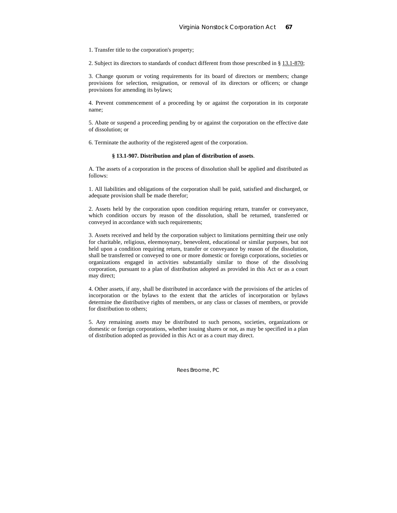1. Transfer title to the corporation's property;

2. Subject its directors to standards of conduct different from those prescribed in § 13.1-870;

3. Change quorum or voting requirements for its board of directors or members; change provisions for selection, resignation, or removal of its directors or officers; or change provisions for amending its bylaws;

4. Prevent commencement of a proceeding by or against the corporation in its corporate name;

5. Abate or suspend a proceeding pending by or against the corporation on the effective date of dissolution; or

6. Terminate the authority of the registered agent of the corporation.

## **§ 13.1-907. Distribution and plan of distribution of assets**.

A. The assets of a corporation in the process of dissolution shall be applied and distributed as follows:

1. All liabilities and obligations of the corporation shall be paid, satisfied and discharged, or adequate provision shall be made therefor;

2. Assets held by the corporation upon condition requiring return, transfer or conveyance, which condition occurs by reason of the dissolution, shall be returned, transferred or conveyed in accordance with such requirements;

3. Assets received and held by the corporation subject to limitations permitting their use only for charitable, religious, eleemosynary, benevolent, educational or similar purposes, but not held upon a condition requiring return, transfer or conveyance by reason of the dissolution, shall be transferred or conveyed to one or more domestic or foreign corporations, societies or organizations engaged in activities substantially similar to those of the dissolving corporation, pursuant to a plan of distribution adopted as provided in this Act or as a court may direct;

4. Other assets, if any, shall be distributed in accordance with the provisions of the articles of incorporation or the bylaws to the extent that the articles of incorporation or bylaws determine the distributive rights of members, or any class or classes of members, or provide for distribution to others;

5. Any remaining assets may be distributed to such persons, societies, organizations or domestic or foreign corporations, whether issuing shares or not, as may be specified in a plan of distribution adopted as provided in this Act or as a court may direct.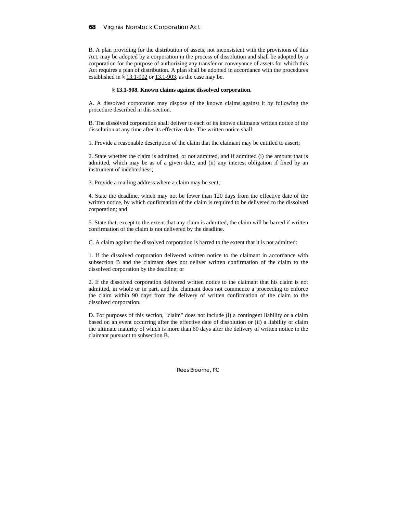# **68** Virginia Nonstock Corporation Act

B. A plan providing for the distribution of assets, not inconsistent with the provisions of this Act, may be adopted by a corporation in the process of dissolution and shall be adopted by a corporation for the purpose of authorizing any transfer or conveyance of assets for which this Act requires a plan of distribution. A plan shall be adopted in accordance with the procedures established in § 13.1-902 or 13.1-903, as the case may be.

## **§ 13.1-908. Known claims against dissolved corporation**.

A. A dissolved corporation may dispose of the known claims against it by following the procedure described in this section.

B. The dissolved corporation shall deliver to each of its known claimants written notice of the dissolution at any time after its effective date. The written notice shall:

1. Provide a reasonable description of the claim that the claimant may be entitled to assert;

2. State whether the claim is admitted, or not admitted, and if admitted (i) the amount that is admitted, which may be as of a given date, and (ii) any interest obligation if fixed by an instrument of indebtedness;

3. Provide a mailing address where a claim may be sent;

4. State the deadline, which may not be fewer than 120 days from the effective date of the written notice, by which confirmation of the claim is required to be delivered to the dissolved corporation; and

5. State that, except to the extent that any claim is admitted, the claim will be barred if written confirmation of the claim is not delivered by the deadline.

C. A claim against the dissolved corporation is barred to the extent that it is not admitted:

1. If the dissolved corporation delivered written notice to the claimant in accordance with subsection B and the claimant does not deliver written confirmation of the claim to the dissolved corporation by the deadline; or

2. If the dissolved corporation delivered written notice to the claimant that his claim is not admitted, in whole or in part, and the claimant does not commence a proceeding to enforce the claim within 90 days from the delivery of written confirmation of the claim to the dissolved corporation.

D. For purposes of this section, "claim" does not include (i) a contingent liability or a claim based on an event occurring after the effective date of dissolution or (ii) a liability or claim the ultimate maturity of which is more than 60 days after the delivery of written notice to the claimant pursuant to subsection B.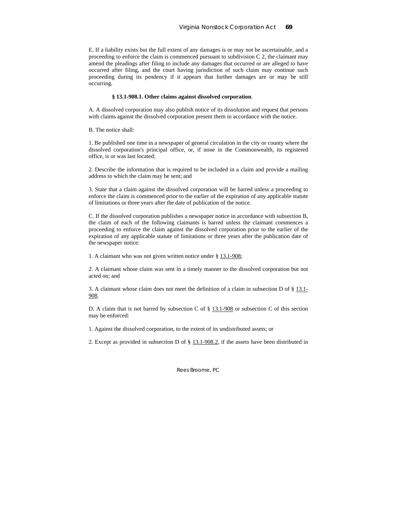E. If a liability exists but the full extent of any damages is or may not be ascertainable, and a proceeding to enforce the claim is commenced pursuant to subdivision C 2, the claimant may amend the pleadings after filing to include any damages that occurred or are alleged to have occurred after filing, and the court having jurisdiction of such claim may continue such proceeding during its pendency if it appears that further damages are or may be still occurring.

#### **§ 13.1-908.1. Other claims against dissolved corporation**.

A. A dissolved corporation may also publish notice of its dissolution and request that persons with claims against the dissolved corporation present them in accordance with the notice.

B. The notice shall:

1. Be published one time in a newspaper of general circulation in the city or county where the dissolved corporation's principal office, or, if none in the Commonwealth, its registered office, is or was last located;

2. Describe the information that is required to be included in a claim and provide a mailing address to which the claim may be sent; and

3. State that a claim against the dissolved corporation will be barred unless a proceeding to enforce the claim is commenced prior to the earlier of the expiration of any applicable statute of limitations or three years after the date of publication of the notice.

C. If the dissolved corporation publishes a newspaper notice in accordance with subsection B, the claim of each of the following claimants is barred unless the claimant commences a proceeding to enforce the claim against the dissolved corporation prior to the earlier of the expiration of any applicable statute of limitations or three years after the publication date of the newspaper notice:

1. A claimant who was not given written notice under § 13.1-908;

2. A claimant whose claim was sent in a timely manner to the dissolved corporation but not acted on; and

3. A claimant whose claim does not meet the definition of a claim in subsection D of § 13.1- 908.

D. A claim that is not barred by subsection C of  $\S$  13.1-908 or subsection C of this section may be enforced:

1. Against the dissolved corporation, to the extent of its undistributed assets; or

2. Except as provided in subsection D of § 13.1-908.2, if the assets have been distributed in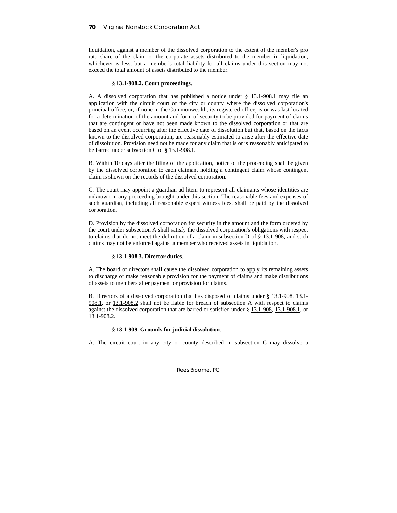# **70** Virginia Nonstock Corporation Act

liquidation, against a member of the dissolved corporation to the extent of the member's pro rata share of the claim or the corporate assets distributed to the member in liquidation, whichever is less, but a member's total liability for all claims under this section may not exceed the total amount of assets distributed to the member.

# **§ 13.1-908.2. Court proceedings**.

A. A dissolved corporation that has published a notice under § 13.1-908.1 may file an application with the circuit court of the city or county where the dissolved corporation's principal office, or, if none in the Commonwealth, its registered office, is or was last located for a determination of the amount and form of security to be provided for payment of claims that are contingent or have not been made known to the dissolved corporation or that are based on an event occurring after the effective date of dissolution but that, based on the facts known to the dissolved corporation, are reasonably estimated to arise after the effective date of dissolution. Provision need not be made for any claim that is or is reasonably anticipated to be barred under subsection C of § 13.1-908.1.

B. Within 10 days after the filing of the application, notice of the proceeding shall be given by the dissolved corporation to each claimant holding a contingent claim whose contingent claim is shown on the records of the dissolved corporation.

C. The court may appoint a guardian ad litem to represent all claimants whose identities are unknown in any proceeding brought under this section. The reasonable fees and expenses of such guardian, including all reasonable expert witness fees, shall be paid by the dissolved corporation.

D. Provision by the dissolved corporation for security in the amount and the form ordered by the court under subsection A shall satisfy the dissolved corporation's obligations with respect to claims that do not meet the definition of a claim in subsection D of  $\S$  13.1-908, and such claims may not be enforced against a member who received assets in liquidation.

# **§ 13.1-908.3. Director duties**.

A. The board of directors shall cause the dissolved corporation to apply its remaining assets to discharge or make reasonable provision for the payment of claims and make distributions of assets to members after payment or provision for claims.

B. Directors of a dissolved corporation that has disposed of claims under § 13.1-908, 13.1- 908.1, or 13.1-908.2 shall not be liable for breach of subsection A with respect to claims against the dissolved corporation that are barred or satisfied under § 13.1-908, 13.1-908.1, or 13.1-908.2.

# **§ 13.1-909. Grounds for judicial dissolution**.

A. The circuit court in any city or county described in subsection C may dissolve a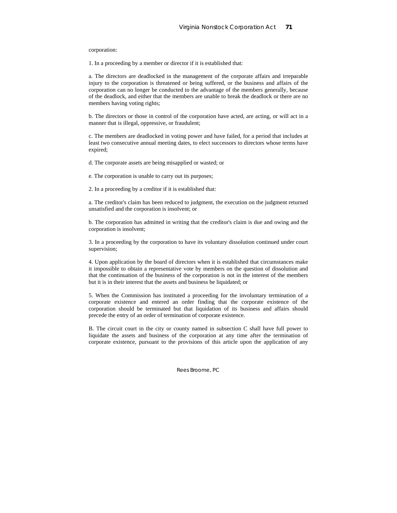corporation:

1. In a proceeding by a member or director if it is established that:

a. The directors are deadlocked in the management of the corporate affairs and irreparable injury to the corporation is threatened or being suffered, or the business and affairs of the corporation can no longer be conducted to the advantage of the members generally, because of the deadlock, and either that the members are unable to break the deadlock or there are no members having voting rights;

b. The directors or those in control of the corporation have acted, are acting, or will act in a manner that is illegal, oppressive, or fraudulent;

c. The members are deadlocked in voting power and have failed, for a period that includes at least two consecutive annual meeting dates, to elect successors to directors whose terms have expired;

d. The corporate assets are being misapplied or wasted; or

e. The corporation is unable to carry out its purposes;

2. In a proceeding by a creditor if it is established that:

a. The creditor's claim has been reduced to judgment, the execution on the judgment returned unsatisfied and the corporation is insolvent; or

b. The corporation has admitted in writing that the creditor's claim is due and owing and the corporation is insolvent;

3. In a proceeding by the corporation to have its voluntary dissolution continued under court supervision;

4. Upon application by the board of directors when it is established that circumstances make it impossible to obtain a representative vote by members on the question of dissolution and that the continuation of the business of the corporation is not in the interest of the members but it is in their interest that the assets and business be liquidated; or

5. When the Commission has instituted a proceeding for the involuntary termination of a corporate existence and entered an order finding that the corporate existence of the corporation should be terminated but that liquidation of its business and affairs should precede the entry of an order of termination of corporate existence.

B. The circuit court in the city or county named in subsection C shall have full power to liquidate the assets and business of the corporation at any time after the termination of corporate existence, pursuant to the provisions of this article upon the application of any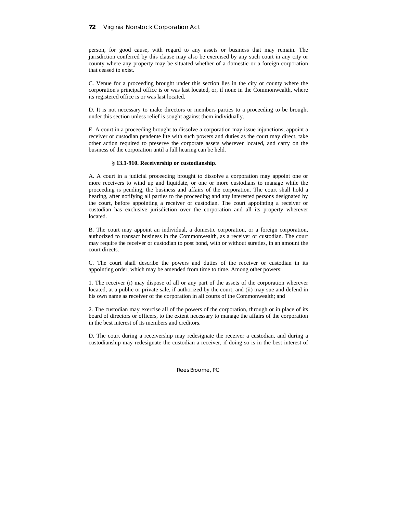person, for good cause, with regard to any assets or business that may remain. The jurisdiction conferred by this clause may also be exercised by any such court in any city or county where any property may be situated whether of a domestic or a foreign corporation that ceased to exist.

C. Venue for a proceeding brought under this section lies in the city or county where the corporation's principal office is or was last located, or, if none in the Commonwealth, where its registered office is or was last located.

D. It is not necessary to make directors or members parties to a proceeding to be brought under this section unless relief is sought against them individually.

E. A court in a proceeding brought to dissolve a corporation may issue injunctions, appoint a receiver or custodian pendente lite with such powers and duties as the court may direct, take other action required to preserve the corporate assets wherever located, and carry on the business of the corporation until a full hearing can be held.

# **§ 13.1-910. Receivership or custodianship**.

A. A court in a judicial proceeding brought to dissolve a corporation may appoint one or more receivers to wind up and liquidate, or one or more custodians to manage while the proceeding is pending, the business and affairs of the corporation. The court shall hold a hearing, after notifying all parties to the proceeding and any interested persons designated by the court, before appointing a receiver or custodian. The court appointing a receiver or custodian has exclusive jurisdiction over the corporation and all its property wherever located.

B. The court may appoint an individual, a domestic corporation, or a foreign corporation, authorized to transact business in the Commonwealth, as a receiver or custodian. The court may require the receiver or custodian to post bond, with or without sureties, in an amount the court directs.

C. The court shall describe the powers and duties of the receiver or custodian in its appointing order, which may be amended from time to time. Among other powers:

1. The receiver (i) may dispose of all or any part of the assets of the corporation wherever located, at a public or private sale, if authorized by the court, and (ii) may sue and defend in his own name as receiver of the corporation in all courts of the Commonwealth; and

2. The custodian may exercise all of the powers of the corporation, through or in place of its board of directors or officers, to the extent necessary to manage the affairs of the corporation in the best interest of its members and creditors.

D. The court during a receivership may redesignate the receiver a custodian, and during a custodianship may redesignate the custodian a receiver, if doing so is in the best interest of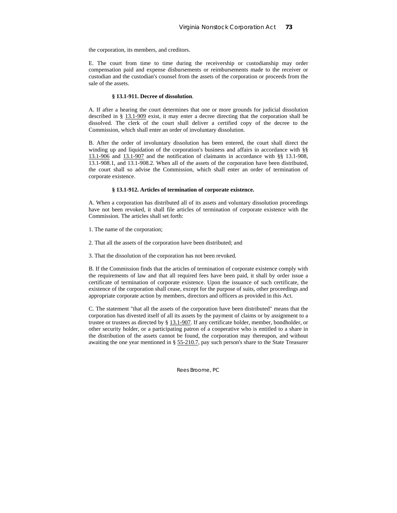the corporation, its members, and creditors.

E. The court from time to time during the receivership or custodianship may order compensation paid and expense disbursements or reimbursements made to the receiver or custodian and the custodian's counsel from the assets of the corporation or proceeds from the sale of the assets.

#### **§ 13.1-911. Decree of dissolution**.

A. If after a hearing the court determines that one or more grounds for judicial dissolution described in § 13.1-909 exist, it may enter a decree directing that the corporation shall be dissolved. The clerk of the court shall deliver a certified copy of the decree to the Commission, which shall enter an order of involuntary dissolution.

B. After the order of involuntary dissolution has been entered, the court shall direct the winding up and liquidation of the corporation's business and affairs in accordance with §§ 13.1-906 and 13.1-907 and the notification of claimants in accordance with §§ 13.1-908, 13.1-908.1, and 13.1-908.2. When all of the assets of the corporation have been distributed, the court shall so advise the Commission, which shall enter an order of termination of corporate existence.

#### **§ 13.1-912. Articles of termination of corporate existence.**

A. When a corporation has distributed all of its assets and voluntary dissolution proceedings have not been revoked, it shall file articles of termination of corporate existence with the Commission. The articles shall set forth:

1. The name of the corporation;

2. That all the assets of the corporation have been distributed; and

3. That the dissolution of the corporation has not been revoked.

B. If the Commission finds that the articles of termination of corporate existence comply with the requirements of law and that all required fees have been paid, it shall by order issue a certificate of termination of corporate existence. Upon the issuance of such certificate, the existence of the corporation shall cease, except for the purpose of suits, other proceedings and appropriate corporate action by members, directors and officers as provided in this Act.

C. The statement "that all the assets of the corporation have been distributed" means that the corporation has divested itself of all its assets by the payment of claims or by assignment to a trustee or trustees as directed by § 13.1-907. If any certificate holder, member, bondholder, or other security holder, or a participating patron of a cooperative who is entitled to a share in the distribution of the assets cannot be found, the corporation may thereupon, and without awaiting the one year mentioned in § 55-210.7, pay such person's share to the State Treasurer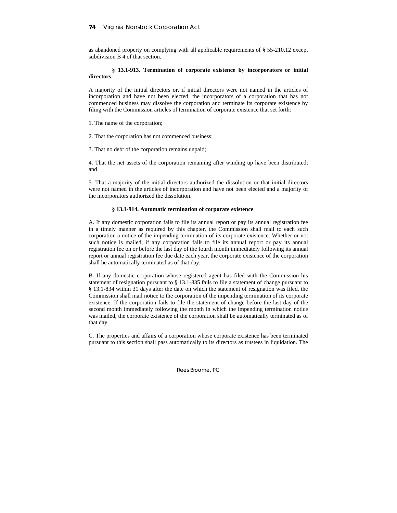as abandoned property on complying with all applicable requirements of § 55-210.12 except subdivision B 4 of that section.

# **§ 13.1-913. Termination of corporate existence by incorporators or initial directors**.

A majority of the initial directors or, if initial directors were not named in the articles of incorporation and have not been elected, the incorporators of a corporation that has not commenced business may dissolve the corporation and terminate its corporate existence by filing with the Commission articles of termination of corporate existence that set forth:

1. The name of the corporation;

2. That the corporation has not commenced business;

3. That no debt of the corporation remains unpaid;

4. That the net assets of the corporation remaining after winding up have been distributed; and

5. That a majority of the initial directors authorized the dissolution or that initial directors were not named in the articles of incorporation and have not been elected and a majority of the incorporators authorized the dissolution.

# **§ 13.1-914. Automatic termination of corporate existence**.

A. If any domestic corporation fails to file its annual report or pay its annual registration fee in a timely manner as required by this chapter, the Commission shall mail to each such corporation a notice of the impending termination of its corporate existence. Whether or not such notice is mailed, if any corporation fails to file its annual report or pay its annual registration fee on or before the last day of the fourth month immediately following its annual report or annual registration fee due date each year, the corporate existence of the corporation shall be automatically terminated as of that day.

B. If any domestic corporation whose registered agent has filed with the Commission his statement of resignation pursuant to § 13.1-835 fails to file a statement of change pursuant to § 13.1-834 within 31 days after the date on which the statement of resignation was filed, the Commission shall mail notice to the corporation of the impending termination of its corporate existence. If the corporation fails to file the statement of change before the last day of the second month immediately following the month in which the impending termination notice was mailed, the corporate existence of the corporation shall be automatically terminated as of that day.

C. The properties and affairs of a corporation whose corporate existence has been terminated pursuant to this section shall pass automatically to its directors as trustees in liquidation. The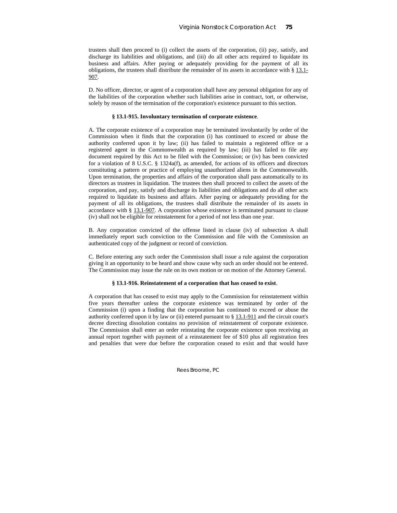trustees shall then proceed to (i) collect the assets of the corporation, (ii) pay, satisfy, and discharge its liabilities and obligations, and (iii) do all other acts required to liquidate its business and affairs. After paying or adequately providing for the payment of all its obligations, the trustees shall distribute the remainder of its assets in accordance with § 13.1- 907.

D. No officer, director, or agent of a corporation shall have any personal obligation for any of the liabilities of the corporation whether such liabilities arise in contract, tort, or otherwise, solely by reason of the termination of the corporation's existence pursuant to this section.

# **§ 13.1-915. Involuntary termination of corporate existence**.

A. The corporate existence of a corporation may be terminated involuntarily by order of the Commission when it finds that the corporation (i) has continued to exceed or abuse the authority conferred upon it by law; (ii) has failed to maintain a registered office or a registered agent in the Commonwealth as required by law; (iii) has failed to file any document required by this Act to be filed with the Commission; or (iv) has been convicted for a violation of 8 U.S.C. § 1324a(f), as amended, for actions of its officers and directors constituting a pattern or practice of employing unauthorized aliens in the Commonwealth. Upon termination, the properties and affairs of the corporation shall pass automatically to its directors as trustees in liquidation. The trustees then shall proceed to collect the assets of the corporation, and pay, satisfy and discharge its liabilities and obligations and do all other acts required to liquidate its business and affairs. After paying or adequately providing for the payment of all its obligations, the trustees shall distribute the remainder of its assets in accordance with  $\S$  13.1-907. A corporation whose existence is terminated pursuant to clause (iv) shall not be eligible for reinstatement for a period of not less than one year.

B. Any corporation convicted of the offense listed in clause (iv) of subsection A shall immediately report such conviction to the Commission and file with the Commission an authenticated copy of the judgment or record of conviction.

C. Before entering any such order the Commission shall issue a rule against the corporation giving it an opportunity to be heard and show cause why such an order should not be entered. The Commission may issue the rule on its own motion or on motion of the Attorney General.

#### **§ 13.1-916. Reinstatement of a corporation that has ceased to exist**.

A corporation that has ceased to exist may apply to the Commission for reinstatement within five years thereafter unless the corporate existence was terminated by order of the Commission (i) upon a finding that the corporation has continued to exceed or abuse the authority conferred upon it by law or (ii) entered pursuant to  $\S$  13.1-911 and the circuit court's decree directing dissolution contains no provision of reinstatement of corporate existence. The Commission shall enter an order reinstating the corporate existence upon receiving an annual report together with payment of a reinstatement fee of \$10 plus all registration fees and penalties that were due before the corporation ceased to exist and that would have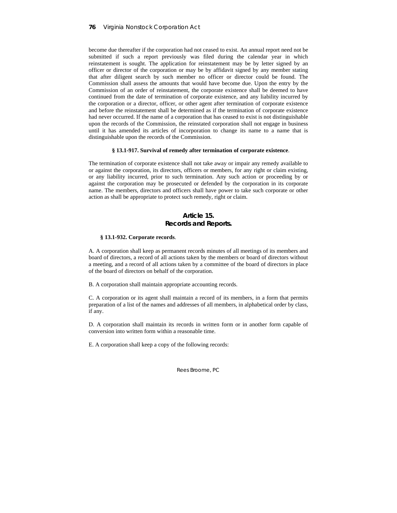become due thereafter if the corporation had not ceased to exist. An annual report need not be submitted if such a report previously was filed during the calendar year in which reinstatement is sought. The application for reinstatement may be by letter signed by an officer or director of the corporation or may be by affidavit signed by any member stating that after diligent search by such member no officer or director could be found. The Commission shall assess the amounts that would have become due. Upon the entry by the Commission of an order of reinstatement, the corporate existence shall be deemed to have continued from the date of termination of corporate existence, and any liability incurred by the corporation or a director, officer, or other agent after termination of corporate existence and before the reinstatement shall be determined as if the termination of corporate existence had never occurred. If the name of a corporation that has ceased to exist is not distinguishable upon the records of the Commission, the reinstated corporation shall not engage in business until it has amended its articles of incorporation to change its name to a name that is distinguishable upon the records of the Commission.

#### **§ 13.1-917. Survival of remedy after termination of corporate existence**.

The termination of corporate existence shall not take away or impair any remedy available to or against the corporation, its directors, officers or members, for any right or claim existing, or any liability incurred, prior to such termination. Any such action or proceeding by or against the corporation may be prosecuted or defended by the corporation in its corporate name. The members, directors and officers shall have power to take such corporate or other action as shall be appropriate to protect such remedy, right or claim.

# **Article 15. Records and Reports.**

# **§ 13.1-932. Corporate records**.

A. A corporation shall keep as permanent records minutes of all meetings of its members and board of directors, a record of all actions taken by the members or board of directors without a meeting, and a record of all actions taken by a committee of the board of directors in place of the board of directors on behalf of the corporation.

B. A corporation shall maintain appropriate accounting records.

C. A corporation or its agent shall maintain a record of its members, in a form that permits preparation of a list of the names and addresses of all members, in alphabetical order by class, if any.

D. A corporation shall maintain its records in written form or in another form capable of conversion into written form within a reasonable time.

E. A corporation shall keep a copy of the following records: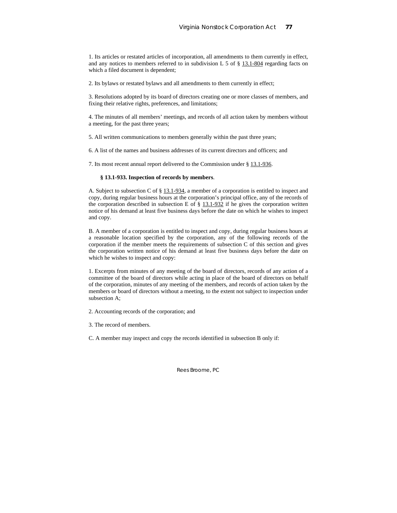1. Its articles or restated articles of incorporation, all amendments to them currently in effect, and any notices to members referred to in subdivision L 5 of  $\S$  13.1-804 regarding facts on which a filed document is dependent;

2. Its bylaws or restated bylaws and all amendments to them currently in effect;

3. Resolutions adopted by its board of directors creating one or more classes of members, and fixing their relative rights, preferences, and limitations;

4. The minutes of all members' meetings, and records of all action taken by members without a meeting, for the past three years;

5. All written communications to members generally within the past three years;

6. A list of the names and business addresses of its current directors and officers; and

7. Its most recent annual report delivered to the Commission under § 13.1-936.

## **§ 13.1-933. Inspection of records by members**.

A. Subject to subsection C of  $\S$  13.1-934, a member of a corporation is entitled to inspect and copy, during regular business hours at the corporation's principal office, any of the records of the corporation described in subsection E of  $\S$  13.1-932 if he gives the corporation written notice of his demand at least five business days before the date on which he wishes to inspect and copy.

B. A member of a corporation is entitled to inspect and copy, during regular business hours at a reasonable location specified by the corporation, any of the following records of the corporation if the member meets the requirements of subsection C of this section and gives the corporation written notice of his demand at least five business days before the date on which he wishes to inspect and copy:

1. Excerpts from minutes of any meeting of the board of directors, records of any action of a committee of the board of directors while acting in place of the board of directors on behalf of the corporation, minutes of any meeting of the members, and records of action taken by the members or board of directors without a meeting, to the extent not subject to inspection under subsection A;

2. Accounting records of the corporation; and

3. The record of members.

C. A member may inspect and copy the records identified in subsection B only if: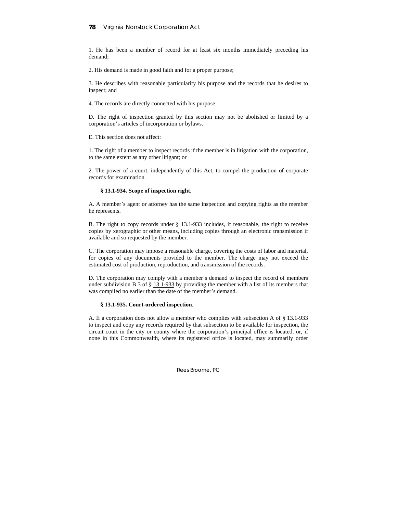1. He has been a member of record for at least six months immediately preceding his demand;

2. His demand is made in good faith and for a proper purpose;

3. He describes with reasonable particularity his purpose and the records that he desires to inspect; and

4. The records are directly connected with his purpose.

D. The right of inspection granted by this section may not be abolished or limited by a corporation's articles of incorporation or bylaws.

E. This section does not affect:

1. The right of a member to inspect records if the member is in litigation with the corporation, to the same extent as any other litigant; or

2. The power of a court, independently of this Act, to compel the production of corporate records for examination.

#### **§ 13.1-934. Scope of inspection right**.

A. A member's agent or attorney has the same inspection and copying rights as the member he represents.

B. The right to copy records under § 13.1-933 includes, if reasonable, the right to receive copies by xerographic or other means, including copies through an electronic transmission if available and so requested by the member.

C. The corporation may impose a reasonable charge, covering the costs of labor and material, for copies of any documents provided to the member. The charge may not exceed the estimated cost of production, reproduction, and transmission of the records.

D. The corporation may comply with a member's demand to inspect the record of members under subdivision B 3 of  $\S$  13.1-933 by providing the member with a list of its members that was compiled no earlier than the date of the member's demand.

#### **§ 13.1-935. Court-ordered inspection**.

A. If a corporation does not allow a member who complies with subsection A of § 13.1-933 to inspect and copy any records required by that subsection to be available for inspection, the circuit court in the city or county where the corporation's principal office is located, or, if none in this Commonwealth, where its registered office is located, may summarily order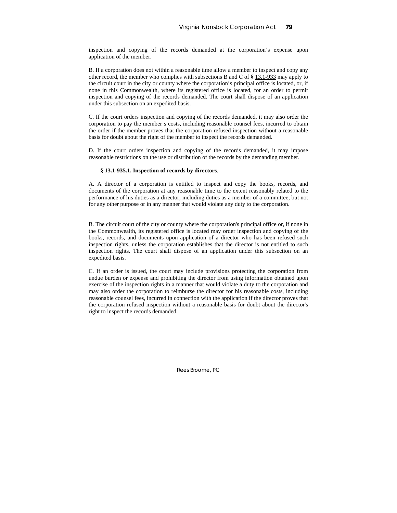inspection and copying of the records demanded at the corporation's expense upon application of the member.

B. If a corporation does not within a reasonable time allow a member to inspect and copy any other record, the member who complies with subsections B and C of § 13.1-933 may apply to the circuit court in the city or county where the corporation's principal office is located, or, if none in this Commonwealth, where its registered office is located, for an order to permit inspection and copying of the records demanded. The court shall dispose of an application under this subsection on an expedited basis.

C. If the court orders inspection and copying of the records demanded, it may also order the corporation to pay the member's costs, including reasonable counsel fees, incurred to obtain the order if the member proves that the corporation refused inspection without a reasonable basis for doubt about the right of the member to inspect the records demanded.

D. If the court orders inspection and copying of the records demanded, it may impose reasonable restrictions on the use or distribution of the records by the demanding member.

#### **§ 13.1-935.1. Inspection of records by directors**.

A. A director of a corporation is entitled to inspect and copy the books, records, and documents of the corporation at any reasonable time to the extent reasonably related to the performance of his duties as a director, including duties as a member of a committee, but not for any other purpose or in any manner that would violate any duty to the corporation.

B. The circuit court of the city or county where the corporation's principal office or, if none in the Commonwealth, its registered office is located may order inspection and copying of the books, records, and documents upon application of a director who has been refused such inspection rights, unless the corporation establishes that the director is not entitled to such inspection rights. The court shall dispose of an application under this subsection on an expedited basis.

C. If an order is issued, the court may include provisions protecting the corporation from undue burden or expense and prohibiting the director from using information obtained upon exercise of the inspection rights in a manner that would violate a duty to the corporation and may also order the corporation to reimburse the director for his reasonable costs, including reasonable counsel fees, incurred in connection with the application if the director proves that the corporation refused inspection without a reasonable basis for doubt about the director's right to inspect the records demanded.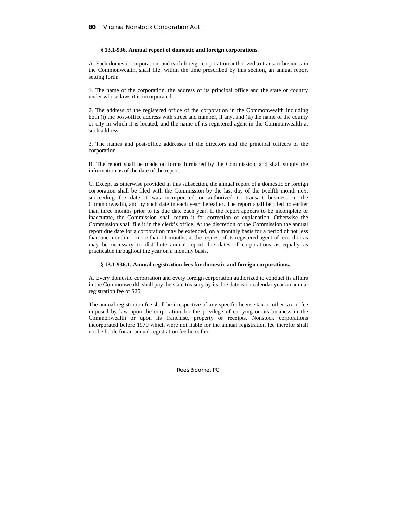## **§ 13.1-936. Annual report of domestic and foreign corporations**.

A. Each domestic corporation, and each foreign corporation authorized to transact business in the Commonwealth, shall file, within the time prescribed by this section, an annual report setting forth:

1. The name of the corporation, the address of its principal office and the state or country under whose laws it is incorporated.

2. The address of the registered office of the corporation in the Commonwealth including both (i) the post-office address with street and number, if any, and (ii) the name of the county or city in which it is located, and the name of its registered agent in the Commonwealth at such address.

3. The names and post-office addresses of the directors and the principal officers of the corporation.

B. The report shall be made on forms furnished by the Commission, and shall supply the information as of the date of the report.

C. Except as otherwise provided in this subsection, the annual report of a domestic or foreign corporation shall be filed with the Commission by the last day of the twelfth month next succeeding the date it was incorporated or authorized to transact business in the Commonwealth, and by such date in each year thereafter. The report shall be filed no earlier than three months prior to its due date each year. If the report appears to be incomplete or inaccurate, the Commission shall return it for correction or explanation. Otherwise the Commission shall file it in the clerk's office. At the discretion of the Commission the annual report due date for a corporation may be extended, on a monthly basis for a period of not less than one month nor more than 11 months, at the request of its registered agent of record or as may be necessary to distribute annual report due dates of corporations as equally as practicable throughout the year on a monthly basis.

#### **§ 13.1-936.1. Annual registration fees for domestic and foreign corporations.**

A. Every domestic corporation and every foreign corporation authorized to conduct its affairs in the Commonwealth shall pay the state treasury by its due date each calendar year an annual registration fee of \$25.

The annual registration fee shall be irrespective of any specific license tax or other tax or fee imposed by law upon the corporation for the privilege of carrying on its business in the Commonwealth or upon its franchise, property or receipts. Nonstock corporations incorporated before 1970 which were not liable for the annual registration fee therefor shall not be liable for an annual registration fee hereafter.